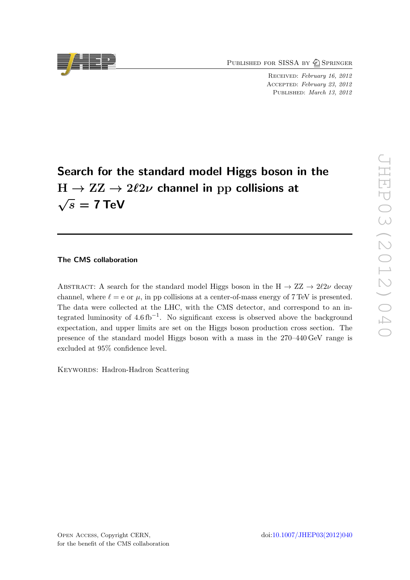PUBLISHED FOR SISSA BY 2 SPRINGER

Received: February 16, 2012 Accepted: February 23, 2012 PUBLISHED: March 13, 2012

# Search for the standard model Higgs boson in the  $H \rightarrow ZZ \rightarrow 2\ell 2\nu$  channel in pp collisions at  $\sqrt{s}$  = 7 TeV

The CMS collaboration

ABSTRACT: A search for the standard model Higgs boson in the H  $\rightarrow ZZ \rightarrow 2\ell 2\nu$  decay channel, where  $\ell = e$  or  $\mu$ , in pp collisions at a center-of-mass energy of 7 TeV is presented. The data were collected at the LHC, with the CMS detector, and correspond to an integrated luminosity of  $4.6 \text{ fb}^{-1}$ . No significant excess is observed above the background expectation, and upper limits are set on the Higgs boson production cross section. The presence of the standard model Higgs boson with a mass in the 270–440 GeV range is excluded at 95% confidence level.

KEYWORDS: Hadron-Hadron Scattering

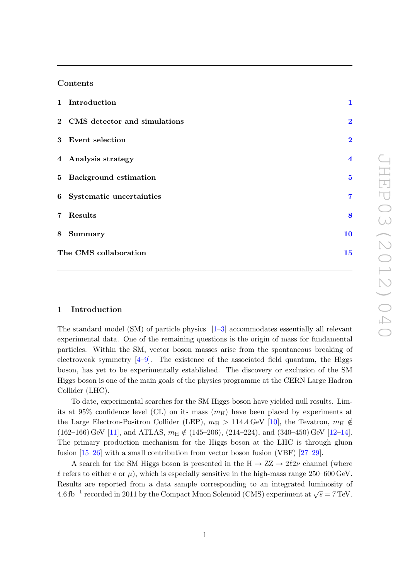# Contents

| 1 Introduction                 | $\mathbf{1}$            |
|--------------------------------|-------------------------|
| 2 CMS detector and simulations | $\overline{2}$          |
| 3 Event selection              | $\overline{2}$          |
| 4 Analysis strategy            | $\overline{\mathbf{4}}$ |
| 5 Background estimation        | $\overline{\mathbf{5}}$ |
| 6 Systematic uncertainties     | 7                       |
| 7 Results                      | 8                       |
| 8 Summary                      | 10                      |
| The CMS collaboration          | 15                      |

# <span id="page-1-0"></span>1 Introduction

The standard model (SM) of particle physics  $[1-3]$  $[1-3]$  accommodates essentially all relevant experimental data. One of the remaining questions is the origin of mass for fundamental particles. Within the SM, vector boson masses arise from the spontaneous breaking of electroweak symmetry  $[4-9]$  $[4-9]$ . The existence of the associated field quantum, the Higgs boson, has yet to be experimentally established. The discovery or exclusion of the SM Higgs boson is one of the main goals of the physics programme at the CERN Large Hadron Collider (LHC).

To date, experimental searches for the SM Higgs boson have yielded null results. Limits at 95% confidence level (CL) on its mass  $(m_H)$  have been placed by experiments at the Large Electron-Positron Collider (LEP),  $m_{\rm H} > 114.4 \,\text{GeV}$  [\[10\]](#page-12-0), the Tevatron,  $m_{\rm H} \notin$  $(162-166)$  GeV [\[11\]](#page-12-1), and ATLAS,  $m_H \notin (145-206)$ ,  $(214-224)$ , and  $(340-450)$  GeV [\[12–](#page-12-2)[14\]](#page-12-3). The primary production mechanism for the Higgs boson at the LHC is through gluon fusion [\[15–](#page-12-4)[26\]](#page-12-5) with a small contribution from vector boson fusion (VBF) [\[27–](#page-13-0)[29\]](#page-13-1).

A search for the SM Higgs boson is presented in the  $H \to ZZ \to 2\ell 2\nu$  channel (where l refers to either e or  $\mu$ ), which is especially sensitive in the high-mass range 250–600 GeV. Results are reported from a data sample corresponding to an integrated luminosity of 4.6 fb<sup>-1</sup> recorded in 2011 by the Compact Muon Solenoid (CMS) experiment at  $\sqrt{s} = 7$  TeV.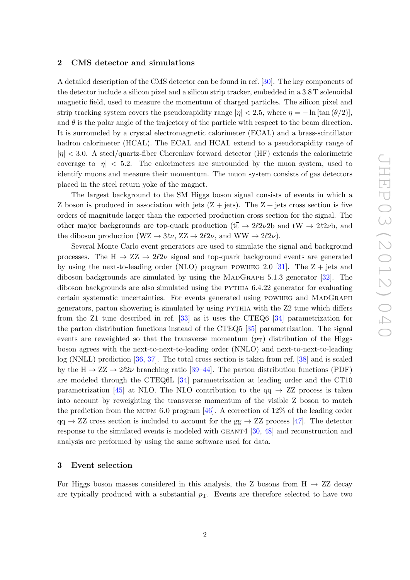### <span id="page-2-0"></span>2 CMS detector and simulations

A detailed description of the CMS detector can be found in ref. [\[30\]](#page-13-2). The key components of the detector include a silicon pixel and a silicon strip tracker, embedded in a 3.8 T solenoidal magnetic field, used to measure the momentum of charged particles. The silicon pixel and strip tracking system covers the pseudorapidity range  $|\eta| < 2.5$ , where  $\eta = -\ln \left[\tan \left(\frac{\theta}{2}\right)\right]$ , and  $\theta$  is the polar angle of the trajectory of the particle with respect to the beam direction. It is surrounded by a crystal electromagnetic calorimeter (ECAL) and a brass-scintillator hadron calorimeter (HCAL). The ECAL and HCAL extend to a pseudorapidity range of  $|\eta|$  < 3.0. A steel/quartz-fiber Cherenkov forward detector (HF) extends the calorimetric coverage to  $|\eta| < 5.2$ . The calorimeters are surrounded by the muon system, used to identify muons and measure their momentum. The muon system consists of gas detectors placed in the steel return yoke of the magnet.

The largest background to the SM Higgs boson signal consists of events in which a Z boson is produced in association with jets  $(Z + jets)$ . The  $Z + jets$  cross section is five orders of magnitude larger than the expected production cross section for the signal. The other major backgrounds are top-quark production ( $t\bar{t} \rightarrow 2\ell 2\nu$ ) and tW  $\rightarrow 2\ell 2\nu$ b, and the diboson production (WZ  $\rightarrow$  3 $\ell \nu$ , ZZ  $\rightarrow$  2 $\ell 2\nu$ , and WW  $\rightarrow$  2 $\ell 2\nu$ ).

Several Monte Carlo event generators are used to simulate the signal and background processes. The H  $\rightarrow ZZ \rightarrow 2\ell 2\nu$  signal and top-quark background events are generated by using the next-to-leading order (NLO) program POWHEG 2.0 [\[31\]](#page-13-3). The  $Z + \text{jets}$  and diboson backgrounds are simulated by using the MADGRAPH  $5.1.3$  generator [\[32\]](#page-13-4). The diboson backgrounds are also simulated using the pythia 6.4.22 generator for evaluating certain systematic uncertainties. For events generated using POWHEG and MADGRAPH generators, parton showering is simulated by using pythia with the Z2 tune which differs from the Z1 tune described in ref. [\[33\]](#page-13-5) as it uses the CTEQ6 [\[34\]](#page-13-6) parametrization for the parton distribution functions instead of the CTEQ5 [\[35\]](#page-13-7) parametrization. The signal events are reweighted so that the transverse momentum  $(p_T)$  distribution of the Higgs boson agrees with the next-to-next-to-leading order (NNLO) and next-to-next-to-leading log (NNLL) prediction [\[36,](#page-13-8) [37\]](#page-13-9). The total cross section is taken from ref. [\[38\]](#page-13-10) and is scaled by the H  $\rightarrow ZZ \rightarrow 2\ell 2\nu$  branching ratio [\[39](#page-13-11)[–44\]](#page-14-0). The parton distribution functions (PDF) are modeled through the CTEQ6L [\[34\]](#page-13-6) parametrization at leading order and the CT10 parametrization [\[45\]](#page-14-1) at NLO. The NLO contribution to the  $qq \rightarrow ZZ$  process is taken into account by reweighting the transverse momentum of the visible Z boson to match the prediction from the MCFM 6.0 program  $[46]$ . A correction of 12% of the leading order  $qq \rightarrow ZZ$  cross section is included to account for the  $gg \rightarrow ZZ$  process [\[47\]](#page-14-3). The detector response to the simulated events is modeled with GEANT4  $[30, 48]$  $[30, 48]$  $[30, 48]$  and reconstruction and analysis are performed by using the same software used for data.

# <span id="page-2-1"></span>3 Event selection

For Higgs boson masses considered in this analysis, the Z bosons from H  $\rightarrow$  ZZ decay are typically produced with a substantial  $p<sub>T</sub>$ . Events are therefore selected to have two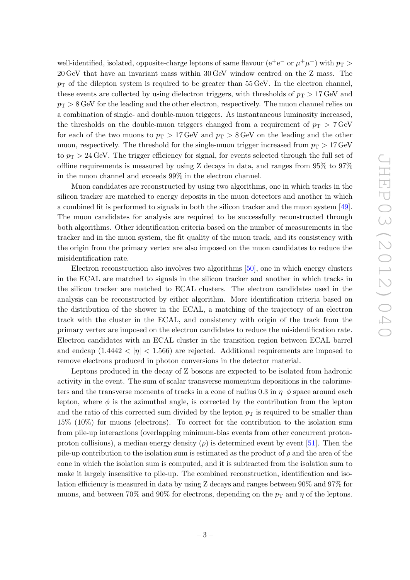well-identified, isolated, opposite-charge leptons of same flavour ( $e^+e^-$  or  $\mu^+\mu^-$ ) with  $p_T >$ 20 GeV that have an invariant mass within 30 GeV window centred on the Z mass. The  $p<sub>T</sub>$  of the dilepton system is required to be greater than 55 GeV. In the electron channel, these events are collected by using dielectron triggers, with thresholds of  $p_T > 17$  GeV and  $p_{\rm T} > 8$  GeV for the leading and the other electron, respectively. The muon channel relies on a combination of single- and double-muon triggers. As instantaneous luminosity increased, the thresholds on the double-muon triggers changed from a requirement of  $p_T > 7$  GeV for each of the two muons to  $p_T > 17 \text{ GeV}$  and  $p_T > 8 \text{ GeV}$  on the leading and the other muon, respectively. The threshold for the single-muon trigger increased from  $p_T > 17$  GeV to  $p_T > 24$  GeV. The trigger efficiency for signal, for events selected through the full set of offline requirements is measured by using Z decays in data, and ranges from 95% to 97% in the muon channel and exceeds 99% in the electron channel.

Muon candidates are reconstructed by using two algorithms, one in which tracks in the silicon tracker are matched to energy deposits in the muon detectors and another in which a combined fit is performed to signals in both the silicon tracker and the muon system [\[49\]](#page-14-5). The muon candidates for analysis are required to be successfully reconstructed through both algorithms. Other identification criteria based on the number of measurements in the tracker and in the muon system, the fit quality of the muon track, and its consistency with the origin from the primary vertex are also imposed on the muon candidates to reduce the misidentification rate.

Electron reconstruction also involves two algorithms [\[50\]](#page-14-6), one in which energy clusters in the ECAL are matched to signals in the silicon tracker and another in which tracks in the silicon tracker are matched to ECAL clusters. The electron candidates used in the analysis can be reconstructed by either algorithm. More identification criteria based on the distribution of the shower in the ECAL, a matching of the trajectory of an electron track with the cluster in the ECAL, and consistency with origin of the track from the primary vertex are imposed on the electron candidates to reduce the misidentification rate. Electron candidates with an ECAL cluster in the transition region between ECAL barrel and endcap  $(1.4442 < |\eta| < 1.566)$  are rejected. Additional requirements are imposed to remove electrons produced in photon conversions in the detector material.

Leptons produced in the decay of Z bosons are expected to be isolated from hadronic activity in the event. The sum of scalar transverse momentum depositions in the calorimeters and the transverse momenta of tracks in a cone of radius 0.3 in  $\eta$ - $\phi$  space around each lepton, where  $\phi$  is the azimuthal angle, is corrected by the contribution from the lepton and the ratio of this corrected sum divided by the lepton  $p<sub>T</sub>$  is required to be smaller than 15% (10%) for muons (electrons). To correct for the contribution to the isolation sum from pile-up interactions (overlapping minimum-bias events from other concurrent protonproton collisions), a median energy density  $(\rho)$  is determined event by event [\[51\]](#page-14-7). Then the pile-up contribution to the isolation sum is estimated as the product of  $\rho$  and the area of the cone in which the isolation sum is computed, and it is subtracted from the isolation sum to make it largely insensitive to pile-up. The combined reconstruction, identification and isolation efficiency is measured in data by using Z decays and ranges between 90% and 97% for muons, and between 70% and 90% for electrons, depending on the  $p_T$  and  $\eta$  of the leptons.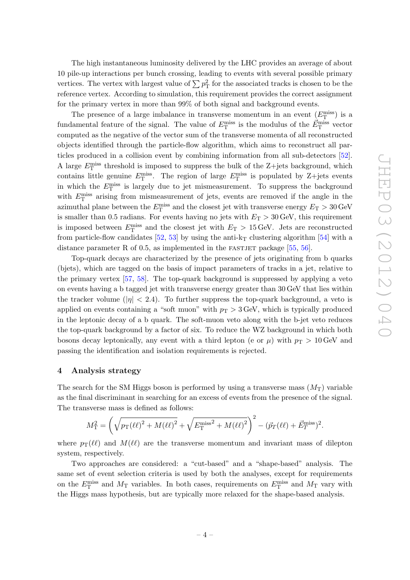The high instantaneous luminosity delivered by the LHC provides an average of about 10 pile-up interactions per bunch crossing, leading to events with several possible primary vertices. The vertex with largest value of  $\sum p_T^2$  for the associated tracks is chosen to be the reference vertex. According to simulation, this requirement provides the correct assignment for the primary vertex in more than 99% of both signal and background events.

The presence of a large imbalance in transverse momentum in an event  $(E_{\text{T}}^{\text{miss}})$  is a fundamental feature of the signal. The value of  $E_{\rm T}^{\rm miss}$  is the modulus of the  $\vec{E}_{\rm T}^{\rm miss}$  vector computed as the negative of the vector sum of the transverse momenta of all reconstructed objects identified through the particle-flow algorithm, which aims to reconstruct all particles produced in a collision event by combining information from all sub-detectors [\[52\]](#page-14-8). A large  $E_{\rm T}^{\rm miss}$  threshold is imposed to suppress the bulk of the Z+jets background, which contains little genuine  $E_{\rm T}^{\rm miss}$ . The region of large  $E_{\rm T}^{\rm miss}$  is populated by Z+jets events in which the  $E_{\rm T}^{\rm miss}$  is largely due to jet mismeasurement. To suppress the background with  $E_{\rm T}^{\rm miss}$  arising from mismeasurement of jets, events are removed if the angle in the azimuthal plane between the  $E_{\rm T}^{\rm miss}$  and the closest jet with transverse energy  $E_{\rm T} > 30\,\text{GeV}$ is smaller than 0.5 radians. For events having no jets with  $E_T > 30$  GeV, this requirement is imposed between  $E_{\rm T}^{\rm miss}$  and the closest jet with  $E_{\rm T} > 15 \,\text{GeV}$ . Jets are reconstructed from particle-flow candidates [\[52,](#page-14-8) [53\]](#page-14-9) by using the anti- $k_T$  clustering algorithm [\[54\]](#page-14-10) with a distance parameter R of 0.5, as implemented in the FASTJET package  $[55, 56]$  $[55, 56]$  $[55, 56]$ .

Top-quark decays are characterized by the presence of jets originating from b quarks (bjets), which are tagged on the basis of impact parameters of tracks in a jet, relative to the primary vertex [\[57,](#page-14-13) [58\]](#page-14-14). The top-quark background is suppressed by applying a veto on events having a b tagged jet with transverse energy greater than 30 GeV that lies within the tracker volume ( $|\eta|$  < 2.4). To further suppress the top-quark background, a veto is applied on events containing a "soft muon" with  $p_T > 3$  GeV, which is typically produced in the leptonic decay of a b quark. The soft-muon veto along with the b-jet veto reduces the top-quark background by a factor of six. To reduce the WZ background in which both bosons decay leptonically, any event with a third lepton (e or  $\mu$ ) with  $p_T > 10$  GeV and passing the identification and isolation requirements is rejected.

### <span id="page-4-0"></span>4 Analysis strategy

The search for the SM Higgs boson is performed by using a transverse mass  $(M_T)$  variable as the final discriminant in searching for an excess of events from the presence of the signal. The transverse mass is defined as follows:

$$
M_{\rm T}^2 = \left(\sqrt{p_{\rm T}(\ell\ell)^2 + M(\ell\ell)^2} + \sqrt{E_{\rm T}^{\rm miss}}^2 + M(\ell\ell)^2\right)^2 - (\vec{p}_{\rm T}(\ell\ell) + \vec{E}_{\rm T}^{\rm miss})^2.
$$

where  $p_T(\ell\ell)$  and  $M(\ell\ell)$  are the transverse momentum and invariant mass of dilepton system, respectively.

Two approaches are considered: a "cut-based" and a "shape-based" analysis. The same set of event selection criteria is used by both the analyses, except for requirements on the  $E_{\rm T}^{\rm miss}$  and  $M_{\rm T}$  variables. In both cases, requirements on  $E_{\rm T}^{\rm miss}$  and  $M_{\rm T}$  vary with the Higgs mass hypothesis, but are typically more relaxed for the shape-based analysis.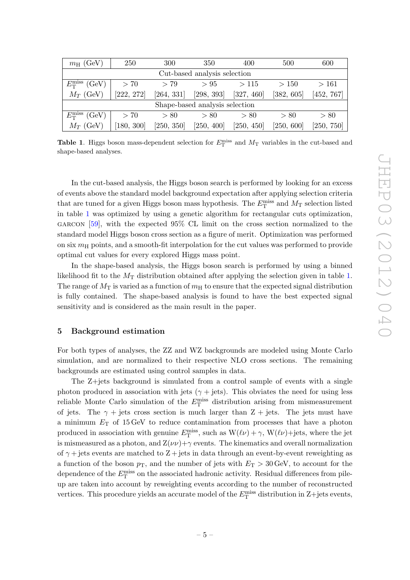| $m_{\rm H}$ (GeV)               | 250        | 300        | 350        | 400        | 500        | 600        |  |  |  |
|---------------------------------|------------|------------|------------|------------|------------|------------|--|--|--|
| Cut-based analysis selection    |            |            |            |            |            |            |  |  |  |
| $E_{\rm T}^{\rm miss}$<br>(GeV) | > 70       | > 79       | > 95       | >115       | >150       | >161       |  |  |  |
| $M_T$ (GeV)                     | [222, 272] | [264, 331] | [298, 393] | [327, 460] | [382, 605] | [452, 767] |  |  |  |
| Shape-based analysis selection  |            |            |            |            |            |            |  |  |  |
| $E_{\rm T}^{\rm miss}$<br>(GeV) | > 70       | > 80       | > 80       | > 80       | > 80       | > 80       |  |  |  |
| $M_T$ (GeV)                     | [180, 300] | [250, 350] | [250, 400] | [250, 450] | [250, 600] | [250, 750] |  |  |  |

<span id="page-5-1"></span>**Table 1.** Higgs boson mass-dependent selection for  $E_{\rm T}^{\rm miss}$  and  $M_{\rm T}$  variables in the cut-based and shape-based analyses.

In the cut-based analysis, the Higgs boson search is performed by looking for an excess of events above the standard model background expectation after applying selection criteria that are tuned for a given Higgs boson mass hypothesis. The  $E_{\rm T}^{\rm miss}$  and  $M_{\rm T}$  selection listed in table [1](#page-5-1) was optimized by using a genetic algorithm for rectangular cuts optimization, garcon [\[59\]](#page-14-15), with the expected 95% CL limit on the cross section normalized to the standard model Higgs boson cross section as a figure of merit. Optimization was performed on six  $m<sub>H</sub>$  points, and a smooth-fit interpolation for the cut values was performed to provide optimal cut values for every explored Higgs mass point.

In the shape-based analysis, the Higgs boson search is performed by using a binned likelihood fit to the  $M<sub>T</sub>$  distribution obtained after applying the selection given in table [1.](#page-5-1) The range of  $M_T$  is varied as a function of  $m_H$  to ensure that the expected signal distribution is fully contained. The shape-based analysis is found to have the best expected signal sensitivity and is considered as the main result in the paper.

# <span id="page-5-0"></span>5 Background estimation

For both types of analyses, the ZZ and WZ backgrounds are modeled using Monte Carlo simulation, and are normalized to their respective NLO cross sections. The remaining backgrounds are estimated using control samples in data.

The Z+jets background is simulated from a control sample of events with a single photon produced in association with jets ( $\gamma$  + jets). This obviates the need for using less reliable Monte Carlo simulation of the  $E_{\rm T}^{\rm miss}$  distribution arising from mismeasurement of jets. The  $\gamma$  + jets cross section is much larger than Z + jets. The jets must have a minimum  $E_T$  of 15 GeV to reduce contamination from processes that have a photon produced in association with genuine  $E_{\text{T}}^{\text{miss}}$ , such as  $W(\ell\nu) + \gamma$ ,  $W(\ell\nu)$ +jets, where the jet is mismeasured as a photon, and  $Z(\nu\nu)+\gamma$  events. The kinematics and overall normalization of  $\gamma$  + jets events are matched to Z + jets in data through an event-by-event reweighting as a function of the boson  $p_T$ , and the number of jets with  $E_T > 30$  GeV, to account for the dependence of the  $E_{\rm T}^{\rm miss}$  on the associated hadronic activity. Residual differences from pileup are taken into account by reweighting events according to the number of reconstructed vertices. This procedure yields an accurate model of the  $E_{\textrm{T}}^{\textrm{miss}}$  distribution in Z+jets events,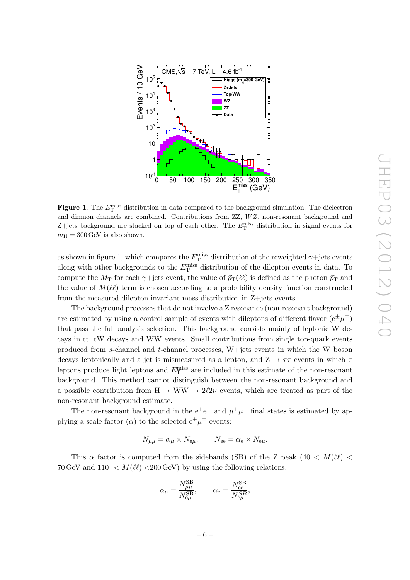

<span id="page-6-0"></span>**Figure 1.** The  $E_{\text{T}}^{\text{miss}}$  distribution in data compared to the background simulation. The dielectron and dimuon channels are combined. Contributions from  $ZZ$ ,  $WZ$ , non-resonant background and Z+jets background are stacked on top of each other. The  $E_{\rm T}^{\rm miss}$  distribution in signal events for  $m_{\rm H} = 300$  GeV is also shown.

as shown in figure [1,](#page-6-0) which compares the  $E_{\textrm{T}}^{\textrm{miss}}$  distribution of the reweighted  $\gamma + \textrm{jets}$  events along with other backgrounds to the  $E_{\textrm{T}}^{\textrm{miss}}$  distribution of the dilepton events in data. To compute the  $M_T$  for each  $\gamma$ +jets event, the value of  $\vec{p}_T(\ell\ell)$  is defined as the photon  $\vec{p}_T$  and the value of  $M(\ell\ell)$  term is chosen according to a probability density function constructed from the measured dilepton invariant mass distribution in Z+jets events.

The background processes that do not involve a Z resonance (non-resonant background) are estimated by using a control sample of events with dileptons of different flavor  $(e^{\pm}\mu^{\mp})$ that pass the full analysis selection. This background consists mainly of leptonic W decays in  $t\bar{t}$ , tW decays and WW events. Small contributions from single top-quark events produced from s-channel and t-channel processes, W+jets events in which the W boson decays leptonically and a jet is mismeasured as a lepton, and  $Z \rightarrow \tau \tau$  events in which  $\tau$ leptons produce light leptons and  $E_{\rm T}^{\rm miss}$  are included in this estimate of the non-resonant background. This method cannot distinguish between the non-resonant background and a possible contribution from H  $\rightarrow WW \rightarrow 2\ell 2\nu$  events, which are treated as part of the non-resonant background estimate.

The non-resonant background in the  $e^+e^-$  and  $\mu^+\mu^-$  final states is estimated by applying a scale factor  $(\alpha)$  to the selected  $e^{\pm}\mu^{\mp}$  events:

$$
N_{\mu\mu} = \alpha_{\mu} \times N_{\rm e\mu}, \qquad N_{\rm ee} = \alpha_{\rm e} \times N_{\rm e\mu}.
$$

This  $\alpha$  factor is computed from the sidebands (SB) of the Z peak (40 <  $M(\ell\ell)$  < 70 GeV and 110  $\langle M(\ell\ell) \langle 200 \text{ GeV} \rangle$  by using the following relations:

$$
\alpha_{\mu} = \frac{N_{\mu\mu}^{\rm SB}}{N_{\rm e\mu}^{\rm SB}}, \qquad \alpha_{\rm e} = \frac{N_{\rm ee}^{\rm SB}}{N_{\rm e\mu}^{\rm SB}},
$$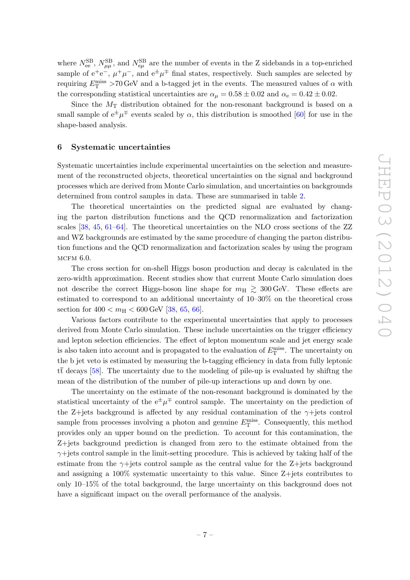where  $N_{ee}^{\text{SB}}, N_{\mu\mu}^{\text{SB}},$  and  $N_{e\mu}^{\text{SB}}$  are the number of events in the Z sidebands in a top-enriched sample of  $e^+e^-$ ,  $\mu^+\mu^-$ , and  $e^{\pm}\mu^{\mp}$  final states, respectively. Such samples are selected by requiring  $E_{\rm T}^{\rm miss} > 70\,\text{GeV}$  and a b-tagged jet in the events. The measured values of  $\alpha$  with the corresponding statistical uncertainties are  $\alpha_{\mu} = 0.58 \pm 0.02$  and  $\alpha_{\rm e} = 0.42 \pm 0.02$ .

Since the  $M_T$  distribution obtained for the non-resonant background is based on a small sample of  $e^{\pm}\mu^{\mp}$  events scaled by  $\alpha$ , this distribution is smoothed [\[60\]](#page-14-16) for use in the shape-based analysis.

#### <span id="page-7-0"></span>6 Systematic uncertainties

Systematic uncertainties include experimental uncertainties on the selection and measurement of the reconstructed objects, theoretical uncertainties on the signal and background processes which are derived from Monte Carlo simulation, and uncertainties on backgrounds determined from control samples in data. These are summarised in table [2.](#page-8-1)

The theoretical uncertainties on the predicted signal are evaluated by changing the parton distribution functions and the QCD renormalization and factorization scales [\[38,](#page-13-10) [45,](#page-14-1) [61](#page-14-17)[–64\]](#page-15-1). The theoretical uncertainties on the NLO cross sections of the ZZ and WZ backgrounds are estimated by the same procedure of changing the parton distribution functions and the QCD renormalization and factorization scales by using the program MCFM 6.0.

The cross section for on-shell Higgs boson production and decay is calculated in the zero-width approximation. Recent studies show that current Monte Carlo simulation does not describe the correct Higgs-boson line shape for  $m_H \gtrsim 300 \,\text{GeV}$ . These effects are estimated to correspond to an additional uncertainty of 10–30% on the theoretical cross section for  $400 < m_{\rm H} < 600 \,\text{GeV}$  [\[38,](#page-13-10) [65,](#page-15-2) [66\]](#page-15-3).

Various factors contribute to the experimental uncertainties that apply to processes derived from Monte Carlo simulation. These include uncertainties on the trigger efficiency and lepton selection efficiencies. The effect of lepton momentum scale and jet energy scale is also taken into account and is propagated to the evaluation of  $E_{\textrm{T}}^{\textrm{miss}}$ . The uncertainty on the b jet veto is estimated by measuring the b-tagging efficiency in data from fully leptonic  $t\bar{t}$  decays [\[58\]](#page-14-14). The uncertainty due to the modeling of pile-up is evaluated by shiftng the mean of the distribution of the number of pile-up interactions up and down by one.

The uncertainty on the estimate of the non-resonant background is dominated by the statistical uncertainty of the  $e^{\pm}\mu^{\mp}$  control sample. The uncertainty on the prediction of the Z+jets background is affected by any residual contamination of the  $\gamma$ +jets control sample from processes involving a photon and genuine  $E_{\rm T}^{\rm miss}$ . Consequently, this method provides only an upper bound on the prediction. To account for this contamination, the Z+jets background prediction is changed from zero to the estimate obtained from the  $\gamma$ +jets control sample in the limit-setting procedure. This is achieved by taking half of the estimate from the  $\gamma$ +jets control sample as the central value for the Z+jets background and assigning a 100% systematic uncertainty to this value. Since Z+jets contributes to only 10–15% of the total background, the large uncertainty on this background does not have a significant impact on the overall performance of the analysis.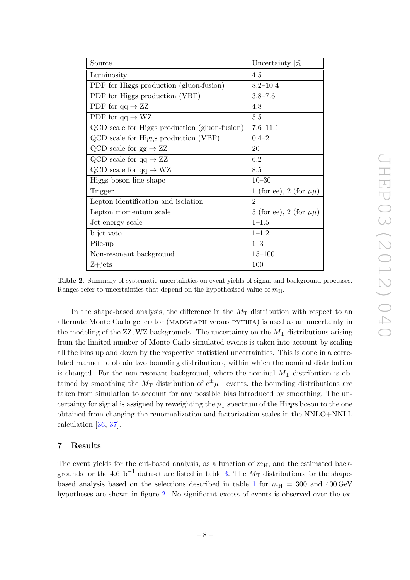| Source                                        | Uncertainty $[\%]$            |
|-----------------------------------------------|-------------------------------|
| Luminosity                                    | 4.5                           |
| PDF for Higgs production (gluon-fusion)       | $8.2 - 10.4$                  |
| PDF for Higgs production (VBF)                | $3.8 - 7.6$                   |
| PDF for $qq \rightarrow ZZ$                   | 4.8                           |
| PDF for $qq \rightarrow WZ$                   | 5.5                           |
| QCD scale for Higgs production (gluon-fusion) | $7.6 - 11.1$                  |
| QCD scale for Higgs production (VBF)          | $0.4 - 2$                     |
| QCD scale for $gg \to ZZ$                     | 20                            |
| QCD scale for $qq \rightarrow ZZ$             | 6.2                           |
| QCD scale for $qq \rightarrow WZ$             | 8.5                           |
| Higgs boson line shape                        | $10 - 30$                     |
| Trigger                                       | 1 (for ee), 2 (for $\mu\mu$ ) |
| Lepton identification and isolation           | $\overline{2}$                |
| Lepton momentum scale                         | 5 (for ee), 2 (for $\mu\mu$ ) |
| Jet energy scale                              | $1 - 1.5$                     |
| b-jet veto                                    | $1 - 1.2$                     |
| Pile-up                                       | $1 - 3$                       |
| Non-resonant background                       | $15 - 100$                    |
| $Z + jets$                                    | 100                           |

<span id="page-8-1"></span>Table 2. Summary of systematic uncertainties on event yields of signal and background processes. Ranges refer to uncertainties that depend on the hypothesised value of  $m<sub>H</sub>$ .

In the shape-based analysis, the difference in the  $M<sub>T</sub>$  distribution with respect to an alternate Monte Carlo generator (madgraph versus pythia) is used as an uncertainty in the modeling of the ZZ, WZ backgrounds. The uncertainty on the  $M<sub>T</sub>$  distributions arising from the limited number of Monte Carlo simulated events is taken into account by scaling all the bins up and down by the respective statistical uncertainties. This is done in a correlated manner to obtain two bounding distributions, within which the nominal distribution is changed. For the non-resonant background, where the nominal  $M<sub>T</sub>$  distribution is obtained by smoothing the  $M_T$  distribution of  $e^{\pm}\mu^{\mp}$  events, the bounding distributions are taken from simulation to account for any possible bias introduced by smoothing. The uncertainty for signal is assigned by reweighting the  $p<sub>T</sub>$  spectrum of the Higgs boson to the one obtained from changing the renormalization and factorization scales in the NNLO+NNLL calculation [\[36,](#page-13-8) [37\]](#page-13-9).

### <span id="page-8-0"></span>7 Results

The event yields for the cut-based analysis, as a function of  $m<sub>H</sub>$ , and the estimated back-grounds for the 4.6 fb<sup>-1</sup> dataset are listed in table [3.](#page-9-0) The  $M<sub>T</sub>$  distributions for the shape-based analysis based on the selections described in table [1](#page-5-1) for  $m_{\text{H}} = 300$  and 400 GeV hypotheses are shown in figure [2.](#page-9-1) No significant excess of events is observed over the ex-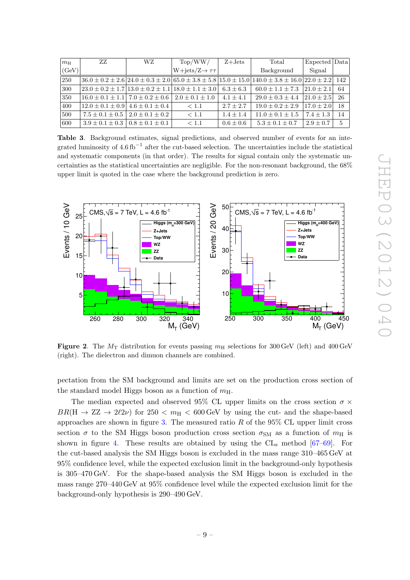| $m_{\rm H}$ | ZZ.                                           | WZ                                                                     | Top/WW/                                                                    | $Z+{\rm Jets}$ | Total                                                                                                                              | Expected   Data  |     |
|-------------|-----------------------------------------------|------------------------------------------------------------------------|----------------------------------------------------------------------------|----------------|------------------------------------------------------------------------------------------------------------------------------------|------------------|-----|
| (GeV)       |                                               |                                                                        | $W+jets/Z \rightarrow \tau\tau$                                            |                | Background                                                                                                                         | Signal           |     |
| 250         |                                               |                                                                        |                                                                            |                | $36.0 \pm 0.2 \pm 2.6$ $24.0 \pm 0.3 \pm 2.0$ $65.0 \pm 3.8 \pm 5.8$ $15.0 \pm 15.0$ $140.0 \pm 3.8 \pm 16.0$ $22.0 \pm 2.2$ $142$ |                  |     |
| 300         |                                               |                                                                        | $(23.0 \pm 0.2 \pm 1.7)$ $(13.0 \pm 0.2 \pm 1.1)$ $(18.0 \pm 1.1 \pm 3.0)$ | $6.3 \pm 6.3$  | $60.0 \pm 1.1 \pm 7.3$                                                                                                             | $121.0 \pm 2.1$  | 64  |
| 350         |                                               | $16.0 \pm 0.1 \pm 1.1$ $7.0 \pm 0.2 \pm 0.6$ $\pm 2.0 \pm 0.1 \pm 1.0$ |                                                                            | $4.1 + 4.1$    | $29.0 \pm 0.3 \pm 4.4$                                                                                                             | $ 21.0 \pm 2.5 $ | -26 |
| 400         | $12.0 \pm 0.1 \pm 0.9$ $4.6 \pm 0.1 \pm 0.4$  |                                                                        | < 1.1                                                                      | $2.7 + 2.7$    | $19.0 \pm 0.2 \pm 2.9$                                                                                                             | $17.0 + 2.0$     | 18  |
| 500         | $7.5 \pm 0.1 \pm 0.5$   $2.0 \pm 0.1 \pm 0.2$ |                                                                        | < 1.1                                                                      | $1.4 + 1.4$    | $11.0 \pm 0.1 \pm 1.5$                                                                                                             | $7.4 \pm 1.3$    | 14  |
| 600         | $3.9 \pm 0.1 \pm 0.3 \pm 0.8 \pm 0.1 \pm 0.1$ |                                                                        | < 1.1                                                                      | $0.6 \pm 0.6$  | $5.3 \pm 0.1 \pm 0.7$                                                                                                              | $2.9 \pm 0.7$    | 5   |

<span id="page-9-0"></span>Table 3. Background estimates, signal predictions, and observed number of events for an integrated luminosity of  $4.6 \text{ fb}^{-1}$  after the cut-based selection. The uncertainties include the statistical and systematic components (in that order). The results for signal contain only the systematic uncertainties as the statistical uncertainties are negligible. For the non-resonant background, the 68% upper limit is quoted in the case where the background prediction is zero.



<span id="page-9-1"></span>**Figure 2.** The  $M_T$  distribution for events passing  $m_H$  selections for 300 GeV (left) and 400 GeV (right). The dielectron and dimuon channels are combined.

pectation from the SM background and limits are set on the production cross section of the standard model Higgs boson as a function of  $m_{\rm H}$ .

The median expected and observed 95% CL upper limits on the cross section  $\sigma \times$  $BR(H \to ZZ \to 2\ell2\nu)$  for  $250 < m_H < 600$  GeV by using the cut- and the shape-based approaches are shown in figure [3.](#page-10-1) The measured ratio  $R$  of the 95% CL upper limit cross section  $\sigma$  to the SM Higgs boson production cross section  $\sigma_{\text{SM}}$  as a function of  $m_{\text{H}}$  is shown in figure [4.](#page-10-2) These results are obtained by using the  $CL<sub>s</sub>$  method [\[67](#page-15-4)[–69\]](#page-15-5). For the cut-based analysis the SM Higgs boson is excluded in the mass range 310–465 GeV at 95% confidence level, while the expected exclusion limit in the background-only hypothesis is 305–470 GeV. For the shape-based analysis the SM Higgs boson is excluded in the mass range 270–440 GeV at 95% confidence level while the expected exclusion limit for the background-only hypothesis is 290–490 GeV.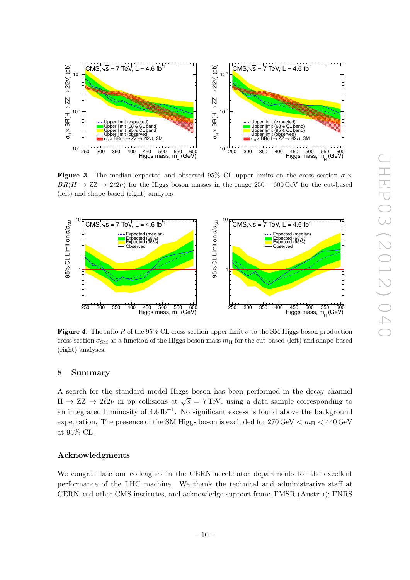

<span id="page-10-1"></span>**Figure 3.** The median expected and observed 95% CL upper limits on the cross section  $\sigma \times$  $BR(H \to ZZ \to 2\ell 2\nu)$  for the Higgs boson masses in the range 250 – 600 GeV for the cut-based (left) and shape-based (right) analyses.



<span id="page-10-2"></span>**Figure 4.** The ratio R of the 95% CL cross section upper limit  $\sigma$  to the SM Higgs boson production cross section  $\sigma_{\rm SM}$  as a function of the Higgs boson mass  $m_{\rm H}$  for the cut-based (left) and shape-based (right) analyses.

### <span id="page-10-0"></span>8 Summary

A search for the standard model Higgs boson has been performed in the decay channel  $H \to ZZ \to 2\ell 2\nu$  in pp collisions at  $\sqrt{s} = 7$  TeV, using a data sample corresponding to an integrated luminosity of  $4.6 \text{ fb}^{-1}$ . No significant excess is found above the background expectation. The presence of the SM Higgs boson is excluded for  $270 \,\text{GeV} < m_{\text{H}} < 440 \,\text{GeV}$ at 95% CL.

### Acknowledgments

We congratulate our colleagues in the CERN accelerator departments for the excellent performance of the LHC machine. We thank the technical and administrative staff at CERN and other CMS institutes, and acknowledge support from: FMSR (Austria); FNRS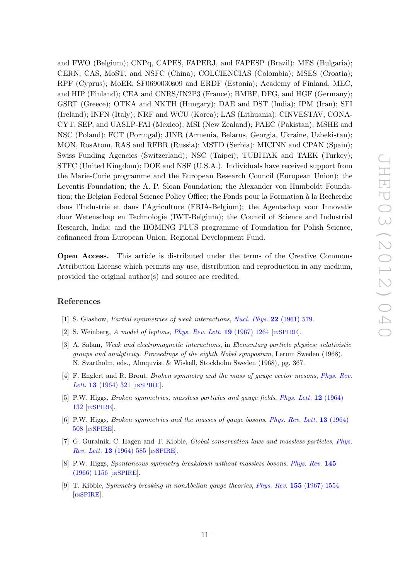and FWO (Belgium); CNPq, CAPES, FAPERJ, and FAPESP (Brazil); MES (Bulgaria); CERN; CAS, MoST, and NSFC (China); COLCIENCIAS (Colombia); MSES (Croatia); RPF (Cyprus); MoER, SF0690030s09 and ERDF (Estonia); Academy of Finland, MEC, and HIP (Finland); CEA and CNRS/IN2P3 (France); BMBF, DFG, and HGF (Germany); GSRT (Greece); OTKA and NKTH (Hungary); DAE and DST (India); IPM (Iran); SFI (Ireland); INFN (Italy); NRF and WCU (Korea); LAS (Lithuania); CINVESTAV, CONA-CYT, SEP, and UASLP-FAI (Mexico); MSI (New Zealand); PAEC (Pakistan); MSHE and NSC (Poland); FCT (Portugal); JINR (Armenia, Belarus, Georgia, Ukraine, Uzbekistan); MON, RosAtom, RAS and RFBR (Russia); MSTD (Serbia); MICINN and CPAN (Spain); Swiss Funding Agencies (Switzerland); NSC (Taipei); TUBITAK and TAEK (Turkey); STFC (United Kingdom); DOE and NSF (U.S.A.). Individuals have received support from the Marie-Curie programme and the European Research Council (European Union); the Leventis Foundation; the A. P. Sloan Foundation; the Alexander von Humboldt Foundation; the Belgian Federal Science Policy Office; the Fonds pour la Formation à la Recherche dans l'Industrie et dans l'Agriculture (FRIA-Belgium); the Agentschap voor Innovatie door Wetenschap en Technologie (IWT-Belgium); the Council of Science and Industrial Research, India; and the HOMING PLUS programme of Foundation for Polish Science, cofinanced from European Union, Regional Development Fund.

Open Access. This article is distributed under the terms of the Creative Commons Attribution License which permits any use, distribution and reproduction in any medium, provided the original author(s) and source are credited.

# References

- <span id="page-11-0"></span>[1] S. Glashow, Partial symmetries of weak interactions, [Nucl. Phys.](http://dx.doi.org/10.1016/0029-5582(61)90469-2) 22 (1961) 579.
- [2] S. Weinberg, A model of leptons, [Phys. Rev. Lett.](http://dx.doi.org/10.1103/PhysRevLett.19.1264) 19 (1967) 1264 [IN[SPIRE](http://inspirehep.net/search?p=find+J+Phys.Rev.Lett.,19,1264)].
- <span id="page-11-1"></span>[3] A. Salam, Weak and electromagnetic interactions, in Elementary particle physics: relativistic groups and analyticity. Proceedings of the eighth Nobel symposium, Lerum Sweden (1968), N. Svartholm, eds., Almquvist & Wiskell, Stockholm Sweden (1968), pg. 367.
- <span id="page-11-2"></span>[4] F. Englert and R. Brout, Broken symmetry and the mass of gauge vector mesons, [Phys. Rev.](http://dx.doi.org/10.1103/PhysRevLett.13.321) Lett. **13** [\(1964\) 321](http://dx.doi.org/10.1103/PhysRevLett.13.321) [IN[SPIRE](http://inspirehep.net/search?p=find+J+Phys.Rev.Lett.,13,321)].
- [5] P.W. Higgs, *Broken symmetries*, massless particles and gauge fields, *[Phys. Lett.](http://dx.doi.org/10.1016/0031-9163(64)91136-9)* **12** (1964) [132](http://dx.doi.org/10.1016/0031-9163(64)91136-9) [IN[SPIRE](http://inspirehep.net/search?p=find+J+Phys.Lett.,12,132)].
- [6] P.W. Higgs, Broken symmetries and the masses of gauge bosons, [Phys. Rev. Lett.](http://dx.doi.org/10.1103/PhysRevLett.13.508) 13 (1964) [508](http://dx.doi.org/10.1103/PhysRevLett.13.508) [IN[SPIRE](http://inspirehep.net/search?p=find+J+Phys.Rev.Lett.,13,508)].
- [7] G. Guralnik, C. Hagen and T. Kibble, *Global conservation laws and massless particles, [Phys.](http://dx.doi.org/10.1103/PhysRevLett.13.585)* Rev. Lett. 13 [\(1964\) 585](http://dx.doi.org/10.1103/PhysRevLett.13.585) [IN[SPIRE](http://inspirehep.net/search?p=find+J+Phys.Rev.Lett.,13,585)].
- [8] P.W. Higgs, Spontaneous symmetry breakdown without massless bosons, [Phys. Rev.](http://dx.doi.org/10.1103/PhysRev.145.1156) 145 [\(1966\) 1156](http://dx.doi.org/10.1103/PhysRev.145.1156) [IN[SPIRE](http://inspirehep.net/search?p=find+J+Phys.Rev.,145,1156)].
- <span id="page-11-3"></span>[9] T. Kibble, Symmetry breaking in nonAbelian gauge theories, Phys. Rev. 155 [\(1967\) 1554](http://dx.doi.org/10.1103/PhysRev.155.1554) [IN[SPIRE](http://inspirehep.net/search?p=find+J+Phys.Rev.,155,1554)].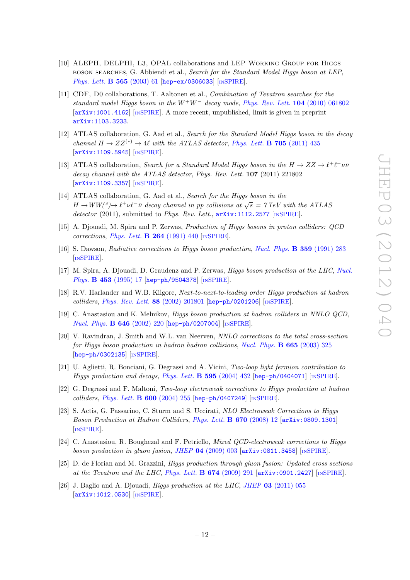- <span id="page-12-0"></span>[10] ALEPH, DELPHI, L3, OPAL collaborations and LEP Working Group for Higgs boson searches, G. Abbiendi et al., Search for the Standard Model Higgs boson at LEP, [Phys. Lett.](http://dx.doi.org/10.1016/S0370-2693(03)00614-2) **B 565** (2003) 61 [[hep-ex/0306033](http://arxiv.org/abs/hep-ex/0306033)] [IN[SPIRE](http://inspirehep.net/search?p=find+EPRINT+HEP-EX/0306033)].
- <span id="page-12-1"></span>[11] CDF, D0 collaborations, T. Aaltonen et al., Combination of Tevatron searches for the standard model Higgs boson in the  $W^+W^-$  decay mode, [Phys. Rev. Lett.](http://dx.doi.org/10.1103/PhysRevLett.104.061802) 104 (2010) 061802 [[arXiv:1001.4162](http://arxiv.org/abs/1001.4162)] [IN[SPIRE](http://inspirehep.net/search?p=find+J+Phys.Rev.Lett.,104,061802)]. A more recent, unpublished, limit is given in preprint [arXiv:1103.3233](http://arxiv.org/abs/1103.3233).
- <span id="page-12-2"></span>[12] ATLAS collaboration, G. Aad et al., Search for the Standard Model Higgs boson in the decay channel  $H \to ZZ^{(*)} \to 4\ell$  with the ATLAS detector, [Phys. Lett.](http://dx.doi.org/10.1016/j.physletb.2011.10.034) **B** 705 (2011) 435 [[arXiv:1109.5945](http://arxiv.org/abs/1109.5945)] [IN[SPIRE](http://inspirehep.net/search?p=find+EPRINT+arXiv:1109.5945)].
- [13] ATLAS collaboration, Search for a Standard Model Higgs boson in the  $H \to ZZ \to \ell^+ \ell^- \nu \bar{\nu}$ decay channel with the ATLAS detector, Phys. Rev. Lett. **107** (2011) 221802  $\left[$ [arXiv:1109.3357](http://arxiv.org/abs/1109.3357) $\right]$  $\left[$ IN[SPIRE](http://inspirehep.net/search?p=find+EPRINT+arXiv:1109.3357) $\right]$ .
- <span id="page-12-3"></span>[14] ATLAS collaboration, G. Aad et al., Search for the Higgs boson in the  $H \to WW(*) \to \ell^+\nu\ell^-\bar{\nu}$  decay channel in pp collisions at  $\sqrt{s} = 7 \,\text{TeV}$  with the ATLAS detector (2011), submitted to Phys. Rev. Lett.,  $arXiv:1112.2577$  [IN[SPIRE](http://inspirehep.net/search?p=find+EPRINT+arXiv:1112.2577)].
- <span id="page-12-4"></span>[15] A. Djouadi, M. Spira and P. Zerwas, Production of Higgs bosons in proton colliders: QCD corrections, [Phys. Lett.](http://dx.doi.org/10.1016/0370-2693(91)90375-Z)  $\bf{B}$  264 (1991) 440 [IN[SPIRE](http://inspirehep.net/search?p=find+J+Phys.Lett.,B264,440)].
- [16] S. Dawson, Radiative corrections to Higgs boson production, [Nucl. Phys.](http://dx.doi.org/10.1016/0550-3213(91)90061-2) B 359 (1991) 283 [IN[SPIRE](http://inspirehep.net/search?p=find+J+Nucl.Phys.,B359,283)].
- [17] M. Spira, A. Diouadi, D. Graudenz and P. Zerwas, *Higgs boson production at the LHC, [Nucl.](http://dx.doi.org/10.1016/0550-3213(95)00379-7)* Phys. **B 453** [\(1995\) 17](http://dx.doi.org/10.1016/0550-3213(95)00379-7) [[hep-ph/9504378](http://arxiv.org/abs/hep-ph/9504378)] [IN[SPIRE](http://inspirehep.net/search?p=find+EPRINT+hep-ph/9504378)].
- [18] R.V. Harlander and W.B. Kilgore, Next-to-next-to-leading order Higgs production at hadron colliders, [Phys. Rev. Lett.](http://dx.doi.org/10.1103/PhysRevLett.88.201801) 88 (2002) 201801 [[hep-ph/0201206](http://arxiv.org/abs/hep-ph/0201206)] [IN[SPIRE](http://inspirehep.net/search?p=find+EPRINT+hep-ph/0201206)].
- [19] C. Anastasiou and K. Melnikov, Higgs boson production at hadron colliders in NNLO QCD, [Nucl. Phys.](http://dx.doi.org/10.1016/S0550-3213(02)00837-4) B 646 (2002) 220 [[hep-ph/0207004](http://arxiv.org/abs/hep-ph/0207004)] [IN[SPIRE](http://inspirehep.net/search?p=find+EPRINT+hep-ph/0207004)].
- [20] V. Ravindran, J. Smith and W.L. van Neerven, NNLO corrections to the total cross-section for Higgs boson production in hadron hadron collisions, [Nucl. Phys.](http://dx.doi.org/10.1016/S0550-3213(03)00457-7) B 665 (2003) 325 [[hep-ph/0302135](http://arxiv.org/abs/hep-ph/0302135)] [IN[SPIRE](http://inspirehep.net/search?p=find+EPRINT+hep-ph/0302135)].
- [21] U. Aglietti, R. Bonciani, G. Degrassi and A. Vicini, Two-loop light fermion contribution to Higgs production and decays, [Phys. Lett.](http://dx.doi.org/10.1016/j.physletb.2004.06.063) **B 595** (2004) 432 [[hep-ph/0404071](http://arxiv.org/abs/hep-ph/0404071)] [IN[SPIRE](http://inspirehep.net/search?p=find+EPRINT+hep-ph/0404071)].
- [22] G. Degrassi and F. Maltoni, Two-loop electroweak corrections to Higgs production at hadron  $colliders, Phys. Let t. B 600 (2004) 255 [hep-ph/0407249] [INSPIRE].$  $colliders, Phys. Let t. B 600 (2004) 255 [hep-ph/0407249] [INSPIRE].$  $colliders, Phys. Let t. B 600 (2004) 255 [hep-ph/0407249] [INSPIRE].$  $colliders, Phys. Let t. B 600 (2004) 255 [hep-ph/0407249] [INSPIRE].$  $colliders, Phys. Let t. B 600 (2004) 255 [hep-ph/0407249] [INSPIRE].$
- [23] S. Actis, G. Passarino, C. Sturm and S. Uccirati, NLO Electroweak Corrections to Higgs Boson Production at Hadron Colliders, [Phys. Lett.](http://dx.doi.org/10.1016/j.physletb.2008.10.018) B 670 (2008) 12 [[arXiv:0809.1301](http://arxiv.org/abs/0809.1301)] [IN[SPIRE](http://inspirehep.net/search?p=find+EPRINT+arXiv:0809.1301)].
- [24] C. Anastasiou, R. Boughezal and F. Petriello, Mixed QCD-electroweak corrections to Higgs boson production in gluon fusion, JHEP  $04$  [\(2009\) 003](http://dx.doi.org/10.1088/1126-6708/2009/04/003) [[arXiv:0811.3458](http://arxiv.org/abs/0811.3458)] [IN[SPIRE](http://inspirehep.net/search?p=find+EPRINT+arXiv:0811.3458)].
- [25] D. de Florian and M. Grazzini, Higgs production through gluon fusion: Updated cross sections at the Tevatron and the LHC, [Phys. Lett.](http://dx.doi.org/10.1016/j.physletb.2009.03.033)  $\bf{B}$  674 (2009) 291 [[arXiv:0901.2427](http://arxiv.org/abs/0901.2427)] [IN[SPIRE](http://inspirehep.net/search?p=find+EPRINT+arXiv:0901.2427)].
- <span id="page-12-5"></span>[26] J. Baglio and A. Djouadi, *Higgs production at the LHC*, *JHEP* 03 [\(2011\) 055](http://dx.doi.org/10.1007/JHEP03(2011)055) [[arXiv:1012.0530](http://arxiv.org/abs/1012.0530)] [IN[SPIRE](http://inspirehep.net/search?p=find+EPRINT+arXiv:1012.0530)].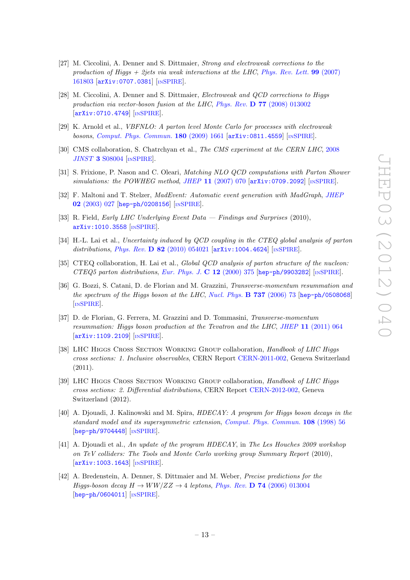- <span id="page-13-0"></span>[27] M. Ciccolini, A. Denner and S. Dittmaier, Strong and electroweak corrections to the production of Higgs  $+$  2jets via weak interactions at the LHC, [Phys. Rev. Lett.](http://dx.doi.org/10.1103/PhysRevLett.99.161803) 99 (2007) [161803](http://dx.doi.org/10.1103/PhysRevLett.99.161803) [[arXiv:0707.0381](http://arxiv.org/abs/0707.0381)] [IN[SPIRE](http://inspirehep.net/search?p=find+EPRINT+arXiv:0707.0381)].
- [28] M. Ciccolini, A. Denner and S. Dittmaier, *Electroweak and OCD corrections to Higgs* production via vector-boson fusion at the LHC, Phys. Rev.  $\bf{D}$  77 [\(2008\) 013002](http://dx.doi.org/10.1103/PhysRevD.77.013002)  $\left[$ [arXiv:0710.4749](http://arxiv.org/abs/0710.4749) $\right]$  $\left[$ IN[SPIRE](http://inspirehep.net/search?p=find+EPRINT+arXiv:0710.4749) $\right]$ .
- <span id="page-13-1"></span>[29] K. Arnold et al., VBFNLO: A parton level Monte Carlo for processes with electroweak bosons, [Comput. Phys. Commun.](http://dx.doi.org/10.1016/j.cpc.2009.03.006) 180 (2009) 1661 [[arXiv:0811.4559](http://arxiv.org/abs/0811.4559)] [IN[SPIRE](http://inspirehep.net/search?p=find+EPRINT+arXiv:0811.4559)].
- <span id="page-13-2"></span>[30] CMS collaboration, S. Chatrchyan et al., The CMS experiment at the CERN LHC, [2008](http://dx.doi.org/10.1088/1748-0221/3/08/S08004) JINST 3 [S08004](http://dx.doi.org/10.1088/1748-0221/3/08/S08004) [IN[SPIRE](http://inspirehep.net/search?p=find+J+JINST,3,S08004)].
- <span id="page-13-3"></span>[31] S. Frixione, P. Nason and C. Oleari, Matching NLO QCD computations with Parton Shower simulations: the POWHEG method, JHEP  $11$  [\(2007\) 070](http://dx.doi.org/10.1088/1126-6708/2007/11/070) [[arXiv:0709.2092](http://arxiv.org/abs/0709.2092)] [IN[SPIRE](http://inspirehep.net/search?p=find+EPRINT+arXiv:0709.2092)].
- <span id="page-13-4"></span>[32] F. Maltoni and T. Stelzer, MadEvent: Automatic event generation with MadGraph, [JHEP](http://dx.doi.org/10.1088/1126-6708/2003/02/027) 02 [\(2003\) 027](http://dx.doi.org/10.1088/1126-6708/2003/02/027) [[hep-ph/0208156](http://arxiv.org/abs/hep-ph/0208156)] [IN[SPIRE](http://inspirehep.net/search?p=find+EPRINT+hep-ph/0208156)].
- <span id="page-13-5"></span>[33] R. Field, Early LHC Underlying Event Data — Findings and Surprises (2010), [arXiv:1010.3558](http://arxiv.org/abs/1010.3558) [IN[SPIRE](http://inspirehep.net/search?p=find+EPRINT+arXiv:1010.3558)].
- <span id="page-13-6"></span>[34] H.-L. Lai et al., Uncertainty induced by QCD coupling in the CTEQ global analysis of parton distributions, Phys. Rev. D  $82$  [\(2010\) 054021](http://dx.doi.org/10.1103/PhysRevD.82.054021) [[arXiv:1004.4624](http://arxiv.org/abs/1004.4624)] [IN[SPIRE](http://inspirehep.net/search?p=find+EPRINT+arXiv:1004.4624)].
- <span id="page-13-7"></span>[35] CTEQ collaboration, H. Lai et al., *Global QCD analysis of parton structure of the nucleon*:  $CTEQ5$  parton distributions, [Eur. Phys. J.](http://dx.doi.org/10.1007/s100529900196) C 12 (2000) 375 [[hep-ph/9903282](http://arxiv.org/abs/hep-ph/9903282)] [IN[SPIRE](http://inspirehep.net/search?p=find+EPRINT+hep-ph/9903282)].
- <span id="page-13-8"></span>[36] G. Bozzi, S. Catani, D. de Florian and M. Grazzini, Transverse-momentum resummation and the spectrum of the Higgs boson at the LHC, [Nucl. Phys.](http://dx.doi.org/10.1016/j.nuclphysb.2005.12.022) B 737 (2006) 73 [[hep-ph/0508068](http://arxiv.org/abs/hep-ph/0508068)] [IN[SPIRE](http://inspirehep.net/search?p=find+EPRINT+hep-ph/0508068)].
- <span id="page-13-9"></span>[37] D. de Florian, G. Ferrera, M. Grazzini and D. Tommasini, Transverse-momentum resummation: Higgs boson production at the Tevatron and the LHC, JHEP 11 [\(2011\) 064](http://dx.doi.org/10.1007/JHEP11(2011)064) [[arXiv:1109.2109](http://arxiv.org/abs/1109.2109)] [IN[SPIRE](http://inspirehep.net/search?p=find+EPRINT+arXiv:1109.2109)].
- <span id="page-13-10"></span>[38] LHC HIGGS CROSS SECTION WORKING GROUP collaboration, Handbook of LHC Higgs cross sections: 1. Inclusive observables, CERN Report [CERN-2011-002,](http://cdsweb.cern.ch/record/1318996) Geneva Switzerland (2011).
- <span id="page-13-11"></span>[39] LHC HIGGS CROSS SECTION WORKING GROUP collaboration, Handbook of LHC Higgs cross sections: 2. Differential distributions, CERN Report [CERN-2012-002,](http://cdsweb.cern.ch/record/1416519) Geneva Switzerland (2012).
- [40] A. Djouadi, J. Kalinowski and M. Spira, HDECAY: A program for Higgs boson decays in the standard model and its supersymmetric extension, [Comput. Phys. Commun.](http://dx.doi.org/10.1016/S0010-4655(97)00123-9) 108 (1998) 56 [[hep-ph/9704448](http://arxiv.org/abs/hep-ph/9704448)] [IN[SPIRE](http://inspirehep.net/search?p=find+EPRINT+hep-ph/9704448)].
- [41] A. Diouadi et al., An update of the program HDECAY, in The Les Houches 2009 workshop on TeV colliders: The Tools and Monte Carlo working group Summary Report (2010), [[arXiv:1003.1643](http://arxiv.org/abs/1003.1643)] [IN[SPIRE](http://inspirehep.net/search?p=find+EPRINT+arXiv:1003.1643)].
- [42] A. Bredenstein, A. Denner, S. Dittmaier and M. Weber, Precise predictions for the Higgs-boson decay  $H \to WW/ZZ \to 4$  leptons, Phys. Rev. **D** 74 [\(2006\) 013004](http://dx.doi.org/10.1103/PhysRevD.74.013004) [[hep-ph/0604011](http://arxiv.org/abs/hep-ph/0604011)] [IN[SPIRE](http://inspirehep.net/search?p=find+EPRINT+hep-ph/0604011)].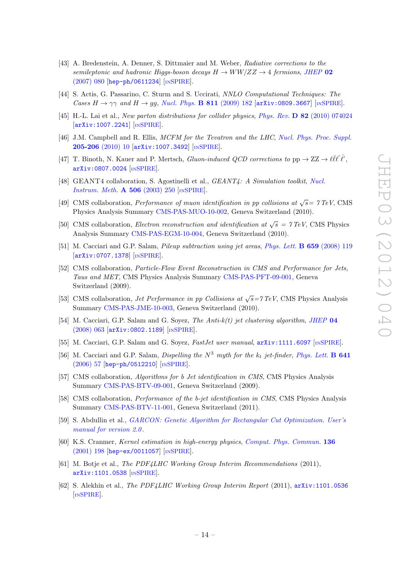- [43] A. Bredenstein, A. Denner, S. Dittmaier and M. Weber, Radiative corrections to the semileptonic and hadronic Higgs-boson decays  $H \to WW/ZZ \to 4$  fermions, [JHEP](http://dx.doi.org/10.1088/1126-6708/2007/02/080) 02 [\(2007\) 080](http://dx.doi.org/10.1088/1126-6708/2007/02/080) [[hep-ph/0611234](http://arxiv.org/abs/hep-ph/0611234)] [IN[SPIRE](http://inspirehep.net/search?p=find+EPRINT+hep-ph/0611234)].
- <span id="page-14-0"></span>[44] S. Actis, G. Passarino, C. Sturm and S. Uccirati, NNLO Computational Techniques: The Cases  $H \to \gamma\gamma$  and  $H \to gg$ , [Nucl. Phys.](http://dx.doi.org/10.1016/j.nuclphysb.2008.11.024) **B** 811 (2009) 182 [[arXiv:0809.3667](http://arxiv.org/abs/0809.3667)] [IN[SPIRE](http://inspirehep.net/search?p=find+EPRINT+arXiv:0809.3667)].
- <span id="page-14-1"></span>[45] H.-L. Lai et al., New parton distributions for collider physics, Phys. Rev. D 82 [\(2010\) 074024](http://dx.doi.org/10.1103/PhysRevD.82.074024) [[arXiv:1007.2241](http://arxiv.org/abs/1007.2241)] [IN[SPIRE](http://inspirehep.net/search?p=find+EPRINT+arXiv:1007.2241)].
- <span id="page-14-2"></span>[46] J.M. Campbell and R. Ellis, MCFM for the Tevatron and the LHC, [Nucl. Phys. Proc. Suppl.](http://dx.doi.org/10.1016/j.nuclphysBPS.2010.08.011) 205-206 [\(2010\) 10](http://dx.doi.org/10.1016/j.nuclphysBPS.2010.08.011) [[arXiv:1007.3492](http://arxiv.org/abs/1007.3492)] [IN[SPIRE](http://inspirehep.net/search?p=find+EPRINT+arXiv:1007.3492)].
- <span id="page-14-3"></span>[47] T. Binoth, N. Kauer and P. Mertsch, *Gluon-induced QCD corrections to*  $pp \to ZZ \to \ell \bar{\ell} \ell' \bar{\ell}'$ , [arXiv:0807.0024](http://arxiv.org/abs/0807.0024) [IN[SPIRE](http://inspirehep.net/search?p=find+EPRINT+arXiv:0807.0024)].
- <span id="page-14-4"></span>[48] GEANT4 collaboration, S. Agostinelli et al., GEANT4: A Simulation toolkit, [Nucl.](http://dx.doi.org/10.1016/S0168-9002(03)01368-8) [Instrum. Meth.](http://dx.doi.org/10.1016/S0168-9002(03)01368-8) A 506 (2003) 250 [IN[SPIRE](http://inspirehep.net/search?p=find+J+Nucl.Instrum.Meth.,A506,250)].
- <span id="page-14-5"></span>[49] CMS collaboration, *Performance of muon identification in pp collisions at*  $\sqrt{s}$  = 7 TeV, CMS Physics Analysis Summary [CMS-PAS-MUO-10-002,](http://cdsweb.cern.ch/record/1279140) Geneva Switzerland (2010).
- <span id="page-14-6"></span>[50] CMS collaboration, *Electron reconstruction and identification at*  $\sqrt{s}$  = 7 TeV, CMS Physics Analysis Summary [CMS-PAS-EGM-10-004,](http://cdsweb.cern.ch/record/1299116) Geneva Switzerland (2010).
- <span id="page-14-7"></span>[51] M. Cacciari and G.P. Salam, Pileup subtraction using jet areas, [Phys. Lett.](http://dx.doi.org/10.1016/j.physletb.2007.09.077) B 659 (2008) 119 [[arXiv:0707.1378](http://arxiv.org/abs/0707.1378)] [IN[SPIRE](http://inspirehep.net/search?p=find+EPRINT+arXiv:0707.1378)].
- <span id="page-14-8"></span>[52] CMS collaboration, Particle-Flow Event Reconstruction in CMS and Performance for Jets, Taus and MET, CMS Physics Analysis Summary [CMS-PAS-PFT-09-001,](http://cdsweb.cern.ch/record/1194487) Geneva Switzerland (2009).
- <span id="page-14-9"></span>[53] CMS collaboration, *Jet Performance in pp Collisions at*  $\sqrt{s}$ =7 TeV, CMS Physics Analysis Summary [CMS-PAS-JME-10-003,](http://cdsweb.cern.ch/record/1279362) Geneva Switzerland (2010).
- <span id="page-14-10"></span>[54] M. Cacciari, G.P. Salam and G. Soyez, The Anti-k(t) jet clustering algorithm, [JHEP](http://dx.doi.org/10.1088/1126-6708/2008/04/063) 04 [\(2008\) 063](http://dx.doi.org/10.1088/1126-6708/2008/04/063) [[arXiv:0802.1189](http://arxiv.org/abs/0802.1189)] [IN[SPIRE](http://inspirehep.net/search?p=find+EPRINT+arXiv:0802.1189)].
- <span id="page-14-11"></span>[55] M. Cacciari, G.P. Salam and G. Soyez, FastJet user manual, [arXiv:1111.6097](http://arxiv.org/abs/1111.6097) [IN[SPIRE](http://inspirehep.net/search?p=find+EPRINT+arXiv:1111.6097)].
- <span id="page-14-12"></span>[56] M. Cacciari and G.P. Salam, *Dispelling the*  $N^3$  myth for the  $k_t$  jet-finder, *[Phys. Lett.](http://dx.doi.org/10.1016/j.physletb.2006.08.037)* **B 641** [\(2006\) 57](http://dx.doi.org/10.1016/j.physletb.2006.08.037) [[hep-ph/0512210](http://arxiv.org/abs/hep-ph/0512210)] [IN[SPIRE](http://inspirehep.net/search?p=find+EPRINT+hep-ph/0512210)].
- <span id="page-14-13"></span>[57] CMS collaboration, *Algorithms for b Jet identification in CMS*, CMS Physics Analysis Summary [CMS-PAS-BTV-09-001,](http://cdsweb.cern.ch/record/1194494) Geneva Switzerland (2009).
- <span id="page-14-14"></span>[58] CMS collaboration, *Performance of the b-jet identification in CMS*, CMS Physics Analysis Summary [CMS-PAS-BTV-11-001,](http://cdsweb.cern.ch/record/1366061) Geneva Switzerland (2011).
- <span id="page-14-15"></span>[59] S. Abdullin et al., [GARCON: Genetic Algorithm for Rectangular Cut Optimization. User's](http://drozdets.home.cern.ch/drozdets/home/genetic/) manual for version  $2.0$ .
- <span id="page-14-16"></span>[60] K.S. Cranmer, Kernel estimation in high-energy physics, [Comput. Phys. Commun.](http://dx.doi.org/10.1016/S0010-4655(00)00243-5) 136 [\(2001\) 198](http://dx.doi.org/10.1016/S0010-4655(00)00243-5) [[hep-ex/0011057](http://arxiv.org/abs/hep-ex/0011057)] [IN[SPIRE](http://inspirehep.net/search?p=find+J+Comput.Phys.Commun.,136,198)].
- <span id="page-14-17"></span>[61] M. Botje et al., The PDF4LHC Working Group Interim Recommendations (2011), [arXiv:1101.0538](http://arxiv.org/abs/1101.0538) [IN[SPIRE](http://inspirehep.net/search?p=find+EPRINT+arXiv:1101.0538)].
- [62] S. Alekhin et al., The PDF4LHC Working Group Interim Report (2011), [arXiv:1101.0536](http://arxiv.org/abs/1101.0536) [IN[SPIRE](http://inspirehep.net/search?p=find+EPRINT+arXiv:1101.0536)].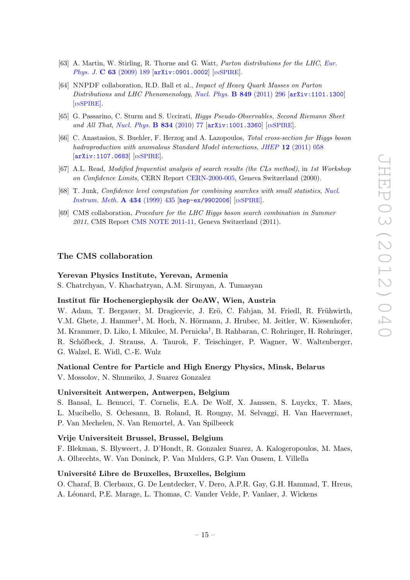- [63] A. Martin, W. Stirling, R. Thorne and G. Watt, Parton distributions for the LHC, [Eur.](http://dx.doi.org/10.1140/epjc/s10052-009-1072-5) Phys. J. C 63 [\(2009\) 189](http://dx.doi.org/10.1140/epjc/s10052-009-1072-5) [[arXiv:0901.0002](http://arxiv.org/abs/0901.0002)] [IN[SPIRE](http://inspirehep.net/search?p=find+EPRINT+arXiv:0901.0002)].
- <span id="page-15-1"></span>[64] NNPDF collaboration, R.D. Ball et al., Impact of Heavy Quark Masses on Parton Distributions and LHC Phenomenology, [Nucl. Phys.](http://dx.doi.org/10.1016/j.nuclphysb.2011.03.021) **B 849** (2011) 296 [[arXiv:1101.1300](http://arxiv.org/abs/1101.1300)] [IN[SPIRE](http://inspirehep.net/search?p=find+EPRINT+arXiv:1101.1300)].
- <span id="page-15-2"></span>[65] G. Passarino, C. Sturm and S. Uccirati, Higgs Pseudo-Observables, Second Riemann Sheet and All That, [Nucl. Phys.](http://dx.doi.org/10.1016/j.nuclphysb.2010.03.013) **B 834** (2010) 77 [[arXiv:1001.3360](http://arxiv.org/abs/1001.3360)] [IN[SPIRE](http://inspirehep.net/search?p=find+EPRINT+arXiv:1001.3360)].
- <span id="page-15-3"></span>[66] C. Anastasiou, S. Buehler, F. Herzog and A. Lazopoulos, Total cross-section for Higgs boson hadroproduction with anomalous Standard Model interactions, JHEP 12 [\(2011\) 058](http://dx.doi.org/10.1007/JHEP12(2011)058) [[arXiv:1107.0683](http://arxiv.org/abs/1107.0683)] [IN[SPIRE](http://inspirehep.net/search?p=find+EPRINT+arXiv:1107.0683)].
- <span id="page-15-4"></span>[67] A.L. Read, Modified frequentist analysis of search results (the CLs method), in 1st Workshop on Confidence Limits, CERN Report [CERN-2000-005,](http://cdsweb.cern.ch/record/411537?ln=en) Geneva Switzerland (2000).
- [68] T. Junk, Confidence level computation for combining searches with small statistics, [Nucl.](http://dx.doi.org/10.1016/S0168-9002(99)00498-2) [Instrum. Meth.](http://dx.doi.org/10.1016/S0168-9002(99)00498-2) A 434 (1999) 435 [[hep-ex/9902006](http://arxiv.org/abs/hep-ex/9902006)] [IN[SPIRE](http://inspirehep.net/search?p=find+EPRINT+hep-ex/9902006)].
- <span id="page-15-5"></span>[69] CMS collaboration, Procedure for the LHC Higgs boson search combination in Summer 2011, CMS Report [CMS NOTE 2011-11,](http://cdsweb.cern.ch/record/1379837) Geneva Switzerland (2011).

# <span id="page-15-0"></span>The CMS collaboration

### Yerevan Physics Institute, Yerevan, Armenia

S. Chatrchyan, V. Khachatryan, A.M. Sirunyan, A. Tumasyan

#### Institut für Hochenergiephysik der OeAW, Wien, Austria

W. Adam, T. Bergauer, M. Dragicevic, J. Erö, C. Fabjan, M. Friedl, R. Frühwirth, V.M. Ghete, J. Hammer<sup>1</sup>, M. Hoch, N. Hörmann, J. Hrubec, M. Jeitler, W. Kiesenhofer, M. Krammer, D. Liko, I. Mikulec, M. Pernicka† , B. Rahbaran, C. Rohringer, H. Rohringer, R. Schöfbeck, J. Strauss, A. Taurok, F. Teischinger, P. Wagner, W. Waltenberger, G. Walzel, E. Widl, C.-E. Wulz

National Centre for Particle and High Energy Physics, Minsk, Belarus

V. Mossolov, N. Shumeiko, J. Suarez Gonzalez

#### Universiteit Antwerpen, Antwerpen, Belgium

S. Bansal, L. Benucci, T. Cornelis, E.A. De Wolf, X. Janssen, S. Luyckx, T. Maes, L. Mucibello, S. Ochesanu, B. Roland, R. Rougny, M. Selvaggi, H. Van Haevermaet, P. Van Mechelen, N. Van Remortel, A. Van Spilbeeck

#### Vrije Universiteit Brussel, Brussel, Belgium

F. Blekman, S. Blyweert, J. D'Hondt, R. Gonzalez Suarez, A. Kalogeropoulos, M. Maes, A. Olbrechts, W. Van Doninck, P. Van Mulders, G.P. Van Onsem, I. Villella

### Université Libre de Bruxelles, Bruxelles, Belgium

O. Charaf, B. Clerbaux, G. De Lentdecker, V. Dero, A.P.R. Gay, G.H. Hammad, T. Hreus,

A. Léonard, P.E. Marage, L. Thomas, C. Vander Velde, P. Vanlaer, J. Wickens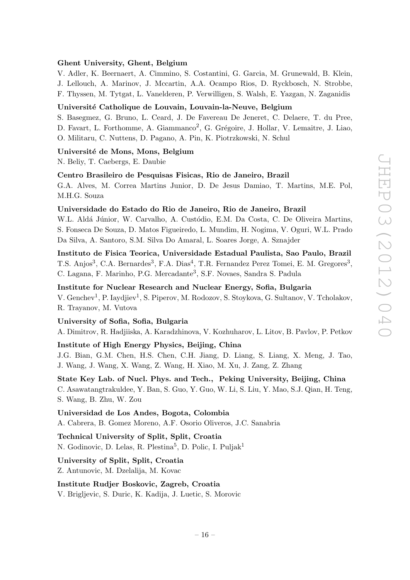### Ghent University, Ghent, Belgium

V. Adler, K. Beernaert, A. Cimmino, S. Costantini, G. Garcia, M. Grunewald, B. Klein,

J. Lellouch, A. Marinov, J. Mccartin, A.A. Ocampo Rios, D. Ryckbosch, N. Strobbe,

F. Thyssen, M. Tytgat, L. Vanelderen, P. Verwilligen, S. Walsh, E. Yazgan, N. Zaganidis

#### Université Catholique de Louvain, Louvain-la-Neuve, Belgium

S. Basegmez, G. Bruno, L. Ceard, J. De Favereau De Jeneret, C. Delaere, T. du Pree,

D. Favart, L. Forthomme, A. Giammanco<sup>2</sup>, G. Grégoire, J. Hollar, V. Lemaitre, J. Liao,

O. Militaru, C. Nuttens, D. Pagano, A. Pin, K. Piotrzkowski, N. Schul

### Université de Mons, Mons, Belgium

N. Beliy, T. Caebergs, E. Daubie

#### Centro Brasileiro de Pesquisas Fisicas, Rio de Janeiro, Brazil

G.A. Alves, M. Correa Martins Junior, D. De Jesus Damiao, T. Martins, M.E. Pol, M.H.G. Souza

### Universidade do Estado do Rio de Janeiro, Rio de Janeiro, Brazil

W.L. Aldá Júnior, W. Carvalho, A. Custódio, E.M. Da Costa, C. De Oliveira Martins, S. Fonseca De Souza, D. Matos Figueiredo, L. Mundim, H. Nogima, V. Oguri, W.L. Prado Da Silva, A. Santoro, S.M. Silva Do Amaral, L. Soares Jorge, A. Sznajder

Instituto de Fisica Teorica, Universidade Estadual Paulista, Sao Paulo, Brazil T.S. Anjos<sup>3</sup>, C.A. Bernardes<sup>3</sup>, F.A. Dias<sup>4</sup>, T.R. Fernandez Perez Tomei, E. M. Gregores<sup>3</sup>, C. Lagana, F. Marinho, P.G. Mercadante<sup>3</sup>, S.F. Novaes, Sandra S. Padula

# Institute for Nuclear Research and Nuclear Energy, Sofia, Bulgaria

V. Genchev<sup>1</sup>, P. Iaydjiev<sup>1</sup>, S. Piperov, M. Rodozov, S. Stoykova, G. Sultanov, V. Tcholakov, R. Trayanov, M. Vutova

# University of Sofia, Sofia, Bulgaria

A. Dimitrov, R. Hadjiiska, A. Karadzhinova, V. Kozhuharov, L. Litov, B. Pavlov, P. Petkov

### Institute of High Energy Physics, Beijing, China

J.G. Bian, G.M. Chen, H.S. Chen, C.H. Jiang, D. Liang, S. Liang, X. Meng, J. Tao, J. Wang, J. Wang, X. Wang, Z. Wang, H. Xiao, M. Xu, J. Zang, Z. Zhang

#### State Key Lab. of Nucl. Phys. and Tech., Peking University, Beijing, China

C. Asawatangtrakuldee, Y. Ban, S. Guo, Y. Guo, W. Li, S. Liu, Y. Mao, S.J. Qian, H. Teng, S. Wang, B. Zhu, W. Zou

Universidad de Los Andes, Bogota, Colombia

A. Cabrera, B. Gomez Moreno, A.F. Osorio Oliveros, J.C. Sanabria

Technical University of Split, Split, Croatia

N. Godinovic, D. Lelas, R. Plestina<sup>5</sup>, D. Polic, I. Puljak<sup>1</sup>

# University of Split, Split, Croatia

Z. Antunovic, M. Dzelalija, M. Kovac

# Institute Rudjer Boskovic, Zagreb, Croatia

V. Brigljevic, S. Duric, K. Kadija, J. Luetic, S. Morovic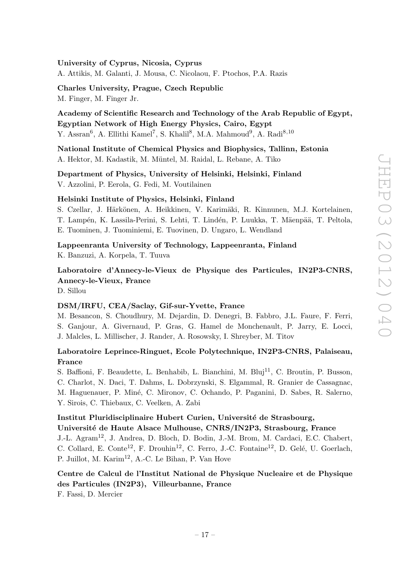# University of Cyprus, Nicosia, Cyprus

A. Attikis, M. Galanti, J. Mousa, C. Nicolaou, F. Ptochos, P.A. Razis

Charles University, Prague, Czech Republic M. Finger, M. Finger Jr.

# Academy of Scientific Research and Technology of the Arab Republic of Egypt, Egyptian Network of High Energy Physics, Cairo, Egypt

Y. Assran<sup>6</sup>, A. Ellithi Kamel<sup>7</sup>, S. Khalil<sup>8</sup>, M.A. Mahmoud<sup>9</sup>, A. Radi<sup>8,10</sup>

National Institute of Chemical Physics and Biophysics, Tallinn, Estonia A. Hektor, M. Kadastik, M. M¨untel, M. Raidal, L. Rebane, A. Tiko

Department of Physics, University of Helsinki, Helsinki, Finland V. Azzolini, P. Eerola, G. Fedi, M. Voutilainen

#### Helsinki Institute of Physics, Helsinki, Finland

S. Czellar, J. Härkönen, A. Heikkinen, V. Karimäki, R. Kinnunen, M.J. Kortelainen, T. Lampén, K. Lassila-Perini, S. Lehti, T. Lindén, P. Luukka, T. Mäenpää, T. Peltola, E. Tuominen, J. Tuominiemi, E. Tuovinen, D. Ungaro, L. Wendland

Lappeenranta University of Technology, Lappeenranta, Finland K. Banzuzi, A. Korpela, T. Tuuva

Laboratoire d'Annecy-le-Vieux de Physique des Particules, IN2P3-CNRS, Annecy-le-Vieux, France D. Sillou

# DSM/IRFU, CEA/Saclay, Gif-sur-Yvette, France

M. Besancon, S. Choudhury, M. Dejardin, D. Denegri, B. Fabbro, J.L. Faure, F. Ferri, S. Ganjour, A. Givernaud, P. Gras, G. Hamel de Monchenault, P. Jarry, E. Locci, J. Malcles, L. Millischer, J. Rander, A. Rosowsky, I. Shreyber, M. Titov

# Laboratoire Leprince-Ringuet, Ecole Polytechnique, IN2P3-CNRS, Palaiseau, France

S. Baffioni, F. Beaudette, L. Benhabib, L. Bianchini, M. Bluj11, C. Broutin, P. Busson, C. Charlot, N. Daci, T. Dahms, L. Dobrzynski, S. Elgammal, R. Granier de Cassagnac, M. Haguenauer, P. Miné, C. Mironov, C. Ochando, P. Paganini, D. Sabes, R. Salerno, Y. Sirois, C. Thiebaux, C. Veelken, A. Zabi

# Institut Pluridisciplinaire Hubert Curien, Université de Strasbourg,

# Universit´e de Haute Alsace Mulhouse, CNRS/IN2P3, Strasbourg, France

J.-L. Agram12, J. Andrea, D. Bloch, D. Bodin, J.-M. Brom, M. Cardaci, E.C. Chabert, C. Collard, E. Conte<sup>12</sup>, F. Drouhin<sup>12</sup>, C. Ferro, J.-C. Fontaine<sup>12</sup>, D. Gelé, U. Goerlach, P. Juillot, M. Karim<sup>12</sup>, A.-C. Le Bihan, P. Van Hove

# Centre de Calcul de l'Institut National de Physique Nucleaire et de Physique des Particules (IN2P3), Villeurbanne, France

F. Fassi, D. Mercier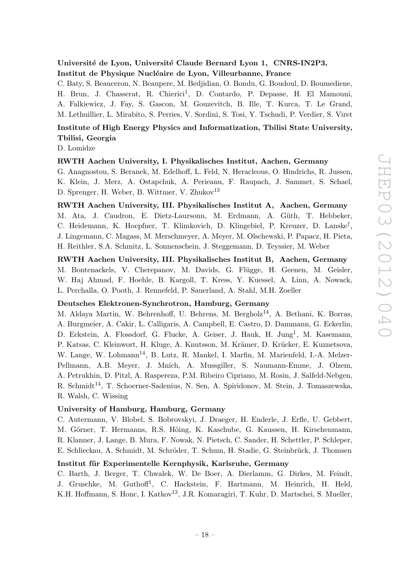# Université de Lyon, Université Claude Bernard Lyon 1, CNRS-IN2P3, Institut de Physique Nucléaire de Lyon, Villeurbanne, France

C. Baty, S. Beauceron, N. Beaupere, M. Bedjidian, O. Bondu, G. Boudoul, D. Boumediene, H. Brun, J. Chasserat, R. Chierici<sup>1</sup>, D. Contardo, P. Depasse, H. El Mamouni, A. Falkiewicz, J. Fay, S. Gascon, M. Gouzevitch, B. Ille, T. Kurca, T. Le Grand, M. Lethuillier, L. Mirabito, S. Perries, V. Sordini, S. Tosi, Y. Tschudi, P. Verdier, S. Viret

# Institute of High Energy Physics and Informatization, Tbilisi State University, Tbilisi, Georgia

D. Lomidze

# RWTH Aachen University, I. Physikalisches Institut, Aachen, Germany

G. Anagnostou, S. Beranek, M. Edelhoff, L. Feld, N. Heracleous, O. Hindrichs, R. Jussen, K. Klein, J. Merz, A. Ostapchuk, A. Perieanu, F. Raupach, J. Sammet, S. Schael, D. Sprenger, H. Weber, B. Wittmer, V. Zhukov<sup>13</sup>

# RWTH Aachen University, III. Physikalisches Institut A, Aachen, Germany

M. Ata, J. Caudron, E. Dietz-Laursonn, M. Erdmann, A. Güth, T. Hebbeker, C. Heidemann, K. Hoepfner, T. Klimkovich, D. Klingebiel, P. Kreuzer, D. Lanske† , J. Lingemann, C. Magass, M. Merschmeyer, A. Meyer, M. Olschewski, P. Papacz, H. Pieta, H. Reithler, S.A. Schmitz, L. Sonnenschein, J. Steggemann, D. Teyssier, M. Weber

RWTH Aachen University, III. Physikalisches Institut B, Aachen, Germany M. Bontenackels, V. Cherepanov, M. Davids, G. Flügge, H. Geenen, M. Geisler, W. Haj Ahmad, F. Hoehle, B. Kargoll, T. Kress, Y. Kuessel, A. Linn, A. Nowack, L. Perchalla, O. Pooth, J. Rennefeld, P. Sauerland, A. Stahl, M.H. Zoeller

# Deutsches Elektronen-Synchrotron, Hamburg, Germany

M. Aldaya Martin, W. Behrenhoff, U. Behrens, M. Bergholz<sup>14</sup>, A. Bethani, K. Borras, A. Burgmeier, A. Cakir, L. Calligaris, A. Campbell, E. Castro, D. Dammann, G. Eckerlin, D. Eckstein, A. Flossdorf, G. Flucke, A. Geiser, J. Hauk, H. Jung<sup>1</sup>, M. Kasemann, P. Katsas, C. Kleinwort, H. Kluge, A. Knutsson, M. Krämer, D. Krücker, E. Kuznetsova, W. Lange, W. Lohmann<sup>14</sup>, B. Lutz, R. Mankel, I. Marfin, M. Marienfeld, I.-A. Melzer-Pellmann, A.B. Meyer, J. Mnich, A. Mussgiller, S. Naumann-Emme, J. Olzem, A. Petrukhin, D. Pitzl, A. Raspereza, P.M. Ribeiro Cipriano, M. Rosin, J. Salfeld-Nebgen, R. Schmidt<sup>14</sup>, T. Schoerner-Sadenius, N. Sen, A. Spiridonov, M. Stein, J. Tomaszewska, R. Walsh, C. Wissing

# University of Hamburg, Hamburg, Germany

C. Autermann, V. Blobel, S. Bobrovskyi, J. Draeger, H. Enderle, J. Erfle, U. Gebbert, M. Görner, T. Hermanns, R.S. Höing, K. Kaschube, G. Kaussen, H. Kirschenmann, R. Klanner, J. Lange, B. Mura, F. Nowak, N. Pietsch, C. Sander, H. Schettler, P. Schleper, E. Schlieckau, A. Schmidt, M. Schröder, T. Schum, H. Stadie, G. Steinbrück, J. Thomsen

# Institut für Experimentelle Kernphysik, Karlsruhe, Germany

C. Barth, J. Berger, T. Chwalek, W. De Boer, A. Dierlamm, G. Dirkes, M. Feindt, J. Gruschke, M. Guthoff<sup>1</sup>, C. Hackstein, F. Hartmann, M. Heinrich, H. Held, K.H. Hoffmann, S. Honc, I. Katkov<sup>13</sup>, J.R. Komaragiri, T. Kuhr, D. Martschei, S. Mueller,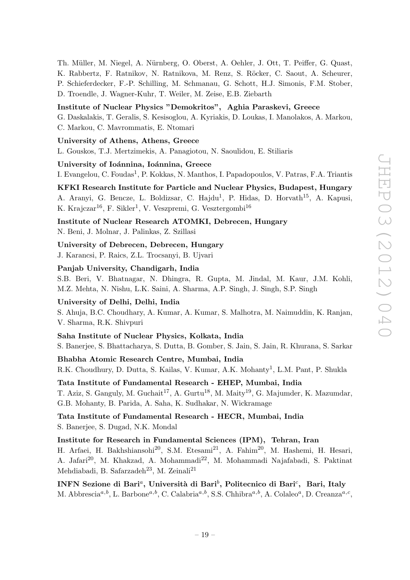Th. Müller, M. Niegel, A. Nürnberg, O. Oberst, A. Oehler, J. Ott, T. Peiffer, G. Quast, K. Rabbertz, F. Ratnikov, N. Ratnikova, M. Renz, S. Röcker, C. Saout, A. Scheurer, P. Schieferdecker, F.-P. Schilling, M. Schmanau, G. Schott, H.J. Simonis, F.M. Stober,

D. Troendle, J. Wagner-Kuhr, T. Weiler, M. Zeise, E.B. Ziebarth

### Institute of Nuclear Physics "Demokritos", Aghia Paraskevi, Greece

G. Daskalakis, T. Geralis, S. Kesisoglou, A. Kyriakis, D. Loukas, I. Manolakos, A. Markou, C. Markou, C. Mavrommatis, E. Ntomari

#### University of Athens, Athens, Greece

L. Gouskos, T.J. Mertzimekis, A. Panagiotou, N. Saoulidou, E. Stiliaris

### University of Ioánnina, Ioánnina, Greece

I. Evangelou, C. Foudas<sup>1</sup>, P. Kokkas, N. Manthos, I. Papadopoulos, V. Patras, F.A. Triantis

### KFKI Research Institute for Particle and Nuclear Physics, Budapest, Hungary

A. Aranyi, G. Bencze, L. Boldizsar, C. Hajdu<sup>1</sup>, P. Hidas, D. Horvath<sup>15</sup>, A. Kapusi, K. Krajczar<sup>16</sup>, F. Sikler<sup>1</sup>, V. Veszpremi, G. Vesztergombi<sup>16</sup>

#### Institute of Nuclear Research ATOMKI, Debrecen, Hungary

N. Beni, J. Molnar, J. Palinkas, Z. Szillasi

University of Debrecen, Debrecen, Hungary J. Karancsi, P. Raics, Z.L. Trocsanyi, B. Ujvari

# Panjab University, Chandigarh, India

S.B. Beri, V. Bhatnagar, N. Dhingra, R. Gupta, M. Jindal, M. Kaur, J.M. Kohli, M.Z. Mehta, N. Nishu, L.K. Saini, A. Sharma, A.P. Singh, J. Singh, S.P. Singh

#### University of Delhi, Delhi, India

S. Ahuja, B.C. Choudhary, A. Kumar, A. Kumar, S. Malhotra, M. Naimuddin, K. Ranjan, V. Sharma, R.K. Shivpuri

#### Saha Institute of Nuclear Physics, Kolkata, India

S. Banerjee, S. Bhattacharya, S. Dutta, B. Gomber, S. Jain, S. Jain, R. Khurana, S. Sarkar

# Bhabha Atomic Research Centre, Mumbai, India

R.K. Choudhury, D. Dutta, S. Kailas, V. Kumar, A.K. Mohanty<sup>1</sup>, L.M. Pant, P. Shukla

# Tata Institute of Fundamental Research - EHEP, Mumbai, India

T. Aziz, S. Ganguly, M. Guchait<sup>17</sup>, A. Gurtu<sup>18</sup>, M. Maity<sup>19</sup>, G. Majumder, K. Mazumdar, G.B. Mohanty, B. Parida, A. Saha, K. Sudhakar, N. Wickramage

Tata Institute of Fundamental Research - HECR, Mumbai, India S. Banerjee, S. Dugad, N.K. Mondal

Institute for Research in Fundamental Sciences (IPM), Tehran, Iran

H. Arfaei, H. Bakhshiansohi20, S.M. Etesami21, A. Fahim20, M. Hashemi, H. Hesari, A. Jafari<sup>20</sup>, M. Khakzad, A. Mohammadi<sup>22</sup>, M. Mohammadi Najafabadi, S. Paktinat Mehdiabadi, B. Safarzadeh<sup>23</sup>, M. Zeinali<sup>21</sup>

 $\mathbf I$ NFN Sezione di Bari $^a,$  Università di Bari $^b,$  Politecnico di Bari $^c,~$  Bari, Italy M. Abbrescia<sup>a,b</sup>, L. Barbone<sup>a,b</sup>, C. Calabria<sup>a,b</sup>, S.S. Chhibra<sup>a,b</sup>, A. Colaleo<sup>a</sup>, D. Creanza<sup>a,c</sup>,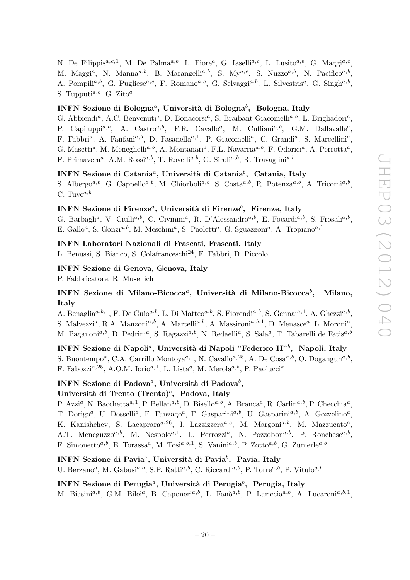N. De Filippis<sup>a,c,1</sup>, M. De Palma<sup>a,b</sup>, L. Fiore<sup>a</sup>, G. Iaselli<sup>a,c</sup>, L. Lusito<sup>a,b</sup>, G. Maggi<sup>a,c</sup>, M. Maggi<sup>a</sup>, N. Manna<sup>a,b</sup>, B. Marangelli<sup>a,b</sup>, S. My<sup>a,c</sup>, S. Nuzzo<sup>a,b</sup>, N. Pacifico<sup>a,b</sup>, A. Pompili<sup>a,b</sup>, G. Pugliese<sup>a,c</sup>, F. Romano<sup>a,c</sup>, G. Selvaggi<sup>a,b</sup>, L. Silvestris<sup>a</sup>, G. Singh<sup>a,b</sup>, S. Tupputi<sup>a,b</sup>, G. Zito<sup>a</sup>

# INFN Sezione di Bologna $^a,$  Università di Bologna $^b, \,$  Bologna, Italy

G. Abbiendi<sup>a</sup>, A.C. Benvenuti<sup>a</sup>, D. Bonacorsi<sup>a</sup>, S. Braibant-Giacomelli<sup>a,b</sup>, L. Brigliadori<sup>a</sup>, P. Capiluppi<sup>a,b</sup>, A. Castro<sup>a,b</sup>, F.R. Cavallo<sup>a</sup>, M. Cuffiani<sup>a,b</sup>, G.M. Dallavalle<sup>a</sup>, F. Fabbri<sup>a</sup>, A. Fanfani<sup>a,b</sup>, D. Fasanella<sup>a,1</sup>, P. Giacomelli<sup>a</sup>, C. Grandi<sup>a</sup>, S. Marcellini<sup>a</sup>, G. Masetti<sup>a</sup>, M. Meneghelli<sup>a,b</sup>, A. Montanari<sup>a</sup>, F.L. Navarria<sup>a,b</sup>, F. Odorici<sup>a</sup>, A. Perrotta<sup>a</sup>, F. Primavera<sup>a</sup>, A.M. Rossi<sup>a,b</sup>, T. Rovelli<sup>a,b</sup>, G. Siroli<sup>a,b</sup>, R. Travaglini<sup>a,b</sup>

# INFN Sezione di Catania $^a,$  Università di Catania $^b, \;$  Catania, Italy

S. Albergo<sup>a,b</sup>, G. Cappello<sup>a,b</sup>, M. Chiorboli<sup>a,b</sup>, S. Costa<sup>a,b</sup>, R. Potenza<sup>a,b</sup>, A. Tricomi<sup>a,b</sup>, C. Tuve<sup> $a,b$ </sup>

# $\operatorname{INFN}$  Sezione di Firenze $^a,$  Università di Firenze $^b,$  Firenze, Italy

G. Barbagli<sup>a</sup>, V. Ciulli<sup>a,b</sup>, C. Civinini<sup>a</sup>, R. D'Alessandro<sup>a,b</sup>, E. Focardi<sup>a,b</sup>, S. Frosali<sup>a,b</sup>, E. Gallo<sup>a</sup>, S. Gonzi<sup>a,b</sup>, M. Meschini<sup>a</sup>, S. Paoletti<sup>a</sup>, G. Sguazzoni<sup>a</sup>, A. Tropiano<sup>a,1</sup>

# INFN Laboratori Nazionali di Frascati, Frascati, Italy

L. Benussi, S. Bianco, S. Colafranceschi24, F. Fabbri, D. Piccolo

# INFN Sezione di Genova, Genova, Italy

P. Fabbricatore, R. Musenich

# ${\rm INFN}\,$  Sezione di Milano-Bicocca $^a,\,$  Università di Milano-Bicocca $^b,\,$  Milano, Italy

A. Benaglia<sup>a,b,1</sup>, F. De Guio<sup>a,b</sup>, L. Di Matteo<sup>a,b</sup>, S. Fiorendi<sup>a,b</sup>, S. Gennai<sup>a,1</sup>, A. Ghezzi<sup>a,b</sup>, S. Malvezzi<sup>a</sup>, R.A. Manzoni<sup>a,b</sup>, A. Martelli<sup>a,b</sup>, A. Massironi<sup>a,b,1</sup>, D. Menasce<sup>a</sup>, L. Moroni<sup>a</sup>, M. Paganoni<sup>a,b</sup>, D. Pedrini<sup>a</sup>, S. Ragazzi<sup>a,b</sup>, N. Redaelli<sup>a</sup>, S. Sala<sup>a</sup>, T. Tabarelli de Fatis<sup>a,b</sup>

INFN Sezione di Napoli<sup>a</sup>, Università di Napoli "Federico II"<sup>b</sup>, Napoli, Italy S. Buontempo<sup>a</sup>, C.A. Carrillo Montoya<sup>*a*,1</sup>, N. Cavallo<sup>*a*,25</sup>, A. De Cosa<sup>*a*,b</sup>, O. Dogangun<sup>*a*,b</sup>, F. Fabozzi<sup>a, 25</sup>, A.O.M. Iorio<sup>a, 1</sup>, L. Lista<sup>a</sup>, M. Merola<sup>a, b</sup>, P. Paolucci<sup>a</sup>

# INFN Sezione di Padova ${}^a,\,$ Università di Padova ${}^b,\,$ Università di Trento (Trento)<sup>c</sup>, Padova, Italy

P. Azzi<sup>a</sup>, N. Bacchetta<sup>a, 1</sup>, P. Bellan<sup>a, b</sup>, D. Bisello<sup>a, b</sup>, A. Branca<sup>a</sup>, R. Carlin<sup>a, b</sup>, P. Checchia<sup>a</sup>, T. Dorigo<sup>a</sup>, U. Dosselli<sup>a</sup>, F. Fanzago<sup>a</sup>, F. Gasparini<sup>a,b</sup>, U. Gasparini<sup>a,b</sup>, A. Gozzelino<sup>a</sup>, K. Kanishchev, S. Lacaprara<sup>a, 26</sup>, I. Lazzizzera<sup>a, c</sup>, M. Margoni<sup>a, b</sup>, M. Mazzucato<sup>a</sup>, A.T. Meneguzzo<sup>a,b</sup>, M. Nespolo<sup>a,1</sup>, L. Perrozzi<sup>a</sup>, N. Pozzobon<sup>a,b</sup>, P. Ronchese<sup>a,b</sup>, F. Simonetto<sup>a,b</sup>, E. Torassa<sup>a</sup>, M. Tosi<sup>a,b,1</sup>, S. Vanini<sup>a,b</sup>, P. Zotto<sup>a,b</sup>, G. Zumerle<sup>a,b</sup>

INFN Sezione di Pavia $^a,$  Università di Pavia $^b, \, \,$  Pavia, Italy U. Berzano<sup>a</sup>, M. Gabusi<sup>a,b</sup>, S.P. Ratti<sup>a,b</sup>, C. Riccardi<sup>a,b</sup>, P. Torre<sup>a,b</sup>, P. Vitulo<sup>a,b</sup>

INFN Sezione di Perugia ${}^a,\,$ Università di Perugia ${}^b,\,$  Perugia, Italy M. Biasini<sup>a,b</sup>, G.M. Bilei<sup>a</sup>, B. Caponeri<sup>a,b</sup>, L. Fanò<sup>a,b</sup>, P. Lariccia<sup>a,b</sup>, A. Lucaroni<sup>a,b,1</sup>,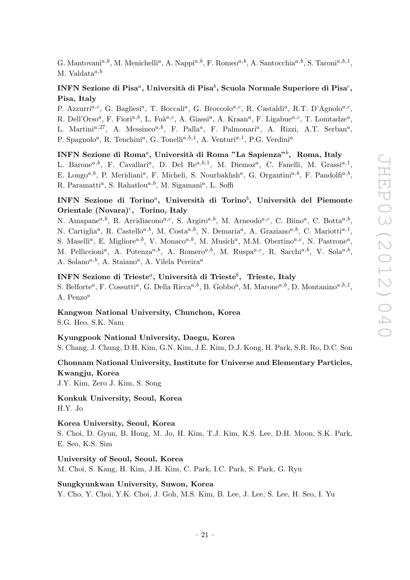G. Mantovani<sup>a,b</sup>, M. Menichelli<sup>a</sup>, A. Nappi<sup>a,b</sup>, F. Romeo<sup>a,b</sup>, A. Santocchia<sup>a,b</sup>, S. Taroni<sup>a,b,1</sup>, M. Valdata $a,b$ 

# $\operatorname{INFN}$  Sezione di Pisa $^a, \operatorname{Università}$  di Pisa $^b, \operatorname{Scuola}$  Normale Superiore di Pisa $^c,$ Pisa, Italy

P. Azzurri<sup>a,c</sup>, G. Bagliesi<sup>a</sup>, T. Boccali<sup>a</sup>, G. Broccolo<sup>a,c</sup>, R. Castaldi<sup>a</sup>, R.T. D'Agnolo<sup>a,c</sup>, R. Dell'Orso<sup>a</sup>, F. Fiori<sup>a,b</sup>, L. Foà<sup>a,c</sup>, A. Giassi<sup>a</sup>, A. Kraan<sup>a</sup>, F. Ligabue<sup>a,c</sup>, T. Lomtadze<sup>a</sup>, L. Martini<sup>a, 27</sup>, A. Messineo<sup>a, b</sup>, F. Palla<sup>a</sup>, F. Palmonari<sup>a</sup>, A. Rizzi, A.T. Serban<sup>a</sup>, P. Spagnolo<sup>a</sup>, R. Tenchini<sup>a</sup>, G. Tonelli<sup>a,b,1</sup>, A. Venturi<sup>a,1</sup>, P.G. Verdini<sup>a</sup>

# $\bf{INFN}$  Sezione di Roma $^a,$  Università di Roma "La Sapienza" $^b,$  Roma, Italy

L. Barone<sup>a,b</sup>, F. Cavallari<sup>a</sup>, D. Del Re<sup>a,b,1</sup>, M. Diemoz<sup>a</sup>, C. Fanelli, M. Grassi<sup>a,1</sup>, E. Longo<sup>a,b</sup>, P. Meridiani<sup>a</sup>, F. Micheli, S. Nourbakhsh<sup>a</sup>, G. Organtini<sup>a,b</sup>, F. Pandolfi<sup>a,b</sup>, R. Paramatti<sup>a</sup>, S. Rahatlou<sup>a,b</sup>, M. Sigamani<sup>a</sup>, L. Soffi

# ${\rm INFN}\>$  Sezione di Torino<sup>a</sup>, Università di Torino<sup>b</sup>, Università del Piemonte Orientale  $(Novara)^c$ , Torino, Italy

N. Amapane<sup>a,b</sup>, R. Arcidiacono<sup>a,c</sup>, S. Argiro<sup>a,b</sup>, M. Arneodo<sup>a,c</sup>, C. Biino<sup>a</sup>, C. Botta<sup>a,b</sup>, N. Cartiglia<sup>a</sup>, R. Castello<sup>a,b</sup>, M. Costa<sup>a,b</sup>, N. Demaria<sup>a</sup>, A. Graziano<sup>a,b</sup>, C. Mariotti<sup>a,1</sup>, S. Maselli<sup>a</sup>, E. Migliore<sup>a,b</sup>, V. Monaco<sup>a,b</sup>, M. Musich<sup>a</sup>, M.M. Obertino<sup>a,c</sup>, N. Pastrone<sup>a</sup>, M. Pelliccioni<sup>a</sup>, A. Potenza<sup>a,b</sup>, A. Romero<sup>a,b</sup>, M. Ruspa<sup>a,c</sup>, R. Sacchi<sup>a,b</sup>, V. Sola<sup>a,b</sup>, A. Solano $^{a,b}$ , A. Staiano $^a$ , A. Vilela Pereira $^a$ 

# $\mathbf{INFN}\ \mathbf{Sezione}\ \mathbf{di}\ \mathbf{Trie}$ ste $^a,\ \mathbf{Università}\ \mathbf{di}\ \mathbf{Trie}$ ste $^b,\ \ \mathbf{Trie}$ ste, Italy

S. Belforte<sup>a</sup>, F. Cossutti<sup>a</sup>, G. Della Ricca<sup>a,b</sup>, B. Gobbo<sup>a</sup>, M. Marone<sup>a,b</sup>, D. Montanino<sup>a,b,1</sup>, A. Penzo $^a$ 

Kangwon National University, Chunchon, Korea S.G. Heo, S.K. Nam

### Kyungpook National University, Daegu, Korea

S. Chang, J. Chung, D.H. Kim, G.N. Kim, J.E. Kim, D.J. Kong, H. Park, S.R. Ro, D.C. Son

# Chonnam National University, Institute for Universe and Elementary Particles, Kwangju, Korea

J.Y. Kim, Zero J. Kim, S. Song

Konkuk University, Seoul, Korea H.Y. Jo

Korea University, Seoul, Korea S. Choi, D. Gyun, B. Hong, M. Jo, H. Kim, T.J. Kim, K.S. Lee, D.H. Moon, S.K. Park, E. Seo, K.S. Sim

University of Seoul, Seoul, Korea M. Choi, S. Kang, H. Kim, J.H. Kim, C. Park, I.C. Park, S. Park, G. Ryu

Sungkyunkwan University, Suwon, Korea Y. Cho, Y. Choi, Y.K. Choi, J. Goh, M.S. Kim, B. Lee, J. Lee, S. Lee, H. Seo, I. Yu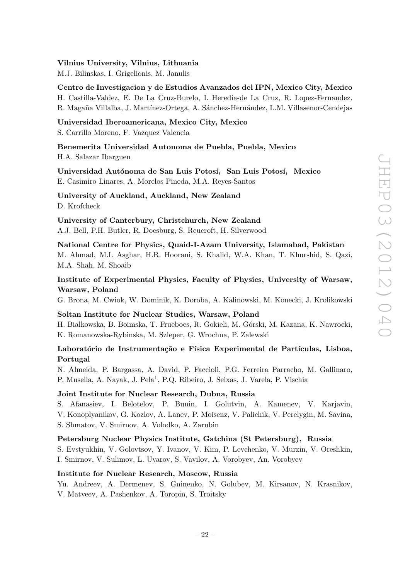### Vilnius University, Vilnius, Lithuania

M.J. Bilinskas, I. Grigelionis, M. Janulis

Centro de Investigacion y de Estudios Avanzados del IPN, Mexico City, Mexico H. Castilla-Valdez, E. De La Cruz-Burelo, I. Heredia-de La Cruz, R. Lopez-Fernandez, R. Magaña Villalba, J. Martínez-Ortega, A. Sánchez-Hernández, L.M. Villasenor-Cendejas

# Universidad Iberoamericana, Mexico City, Mexico

S. Carrillo Moreno, F. Vazquez Valencia

# Benemerita Universidad Autonoma de Puebla, Puebla, Mexico

H.A. Salazar Ibarguen

# Universidad Autónoma de San Luis Potosí, San Luis Potosí, Mexico E. Casimiro Linares, A. Morelos Pineda, M.A. Reyes-Santos

University of Auckland, Auckland, New Zealand D. Krofcheck

University of Canterbury, Christchurch, New Zealand A.J. Bell, P.H. Butler, R. Doesburg, S. Reucroft, H. Silverwood

# National Centre for Physics, Quaid-I-Azam University, Islamabad, Pakistan M. Ahmad, M.I. Asghar, H.R. Hoorani, S. Khalid, W.A. Khan, T. Khurshid, S. Qazi, M.A. Shah, M. Shoaib

# Institute of Experimental Physics, Faculty of Physics, University of Warsaw, Warsaw, Poland

G. Brona, M. Cwiok, W. Dominik, K. Doroba, A. Kalinowski, M. Konecki, J. Krolikowski

### Soltan Institute for Nuclear Studies, Warsaw, Poland

H. Bialkowska, B. Boimska, T. Frueboes, R. Gokieli, M. G´orski, M. Kazana, K. Nawrocki, K. Romanowska-Rybinska, M. Szleper, G. Wrochna, P. Zalewski

# Laboratório de Instrumentação e Física Experimental de Partículas, Lisboa, Portugal

N. Almeida, P. Bargassa, A. David, P. Faccioli, P.G. Ferreira Parracho, M. Gallinaro, P. Musella, A. Nayak, J. Pela<sup>1</sup>, P.Q. Ribeiro, J. Seixas, J. Varela, P. Vischia

### Joint Institute for Nuclear Research, Dubna, Russia

S. Afanasiev, I. Belotelov, P. Bunin, I. Golutvin, A. Kamenev, V. Karjavin, V. Konoplyanikov, G. Kozlov, A. Lanev, P. Moisenz, V. Palichik, V. Perelygin, M. Savina, S. Shmatov, V. Smirnov, A. Volodko, A. Zarubin

### Petersburg Nuclear Physics Institute, Gatchina (St Petersburg), Russia

S. Evstyukhin, V. Golovtsov, Y. Ivanov, V. Kim, P. Levchenko, V. Murzin, V. Oreshkin, I. Smirnov, V. Sulimov, L. Uvarov, S. Vavilov, A. Vorobyev, An. Vorobyev

### Institute for Nuclear Research, Moscow, Russia

Yu. Andreev, A. Dermenev, S. Gninenko, N. Golubev, M. Kirsanov, N. Krasnikov, V. Matveev, A. Pashenkov, A. Toropin, S. Troitsky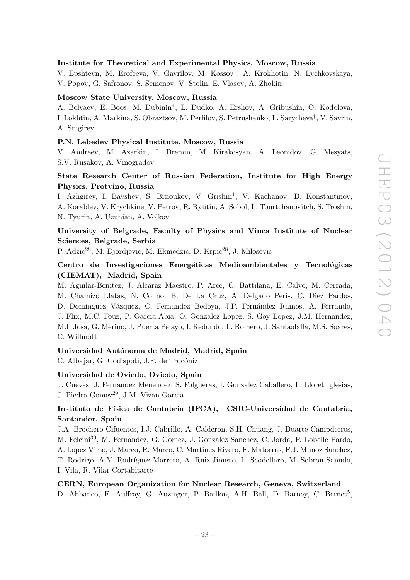### Institute for Theoretical and Experimental Physics, Moscow, Russia

V. Epshteyn, M. Erofeeva, V. Gavrilov, M. Kossov<sup>1</sup>, A. Krokhotin, N. Lychkovskaya, V. Popov, G. Safronov, S. Semenov, V. Stolin, E. Vlasov, A. Zhokin

### Moscow State University, Moscow, Russia

A. Belyaev, E. Boos, M. Dubinin<sup>4</sup>, L. Dudko, A. Ershov, A. Gribushin, O. Kodolova, I. Lokhtin, A. Markina, S. Obraztsov, M. Perfilov, S. Petrushanko, L. Sarycheva† , V. Savrin, A. Snigirev

# P.N. Lebedev Physical Institute, Moscow, Russia

V. Andreev, M. Azarkin, I. Dremin, M. Kirakosyan, A. Leonidov, G. Mesyats, S.V. Rusakov, A. Vinogradov

# State Research Center of Russian Federation, Institute for High Energy Physics, Protvino, Russia

I. Azhgirey, I. Bayshev, S. Bitioukov, V. Grishin<sup>1</sup>, V. Kachanov, D. Konstantinov, A. Korablev, V. Krychkine, V. Petrov, R. Ryutin, A. Sobol, L. Tourtchanovitch, S. Troshin, N. Tyurin, A. Uzunian, A. Volkov

# University of Belgrade, Faculty of Physics and Vinca Institute of Nuclear Sciences, Belgrade, Serbia

P. Adzic<sup>28</sup>, M. Djordjevic, M. Ekmedzic, D. Krpic<sup>28</sup>, J. Milosevic

# Centro de Investigaciones Energéticas Medioambientales y Tecnológicas (CIEMAT), Madrid, Spain

M. Aguilar-Benitez, J. Alcaraz Maestre, P. Arce, C. Battilana, E. Calvo, M. Cerrada, M. Chamizo Llatas, N. Colino, B. De La Cruz, A. Delgado Peris, C. Diez Pardos, D. Domínguez Vázquez, C. Fernandez Bedoya, J.P. Fernández Ramos, A. Ferrando, J. Flix, M.C. Fouz, P. Garcia-Abia, O. Gonzalez Lopez, S. Goy Lopez, J.M. Hernandez, M.I. Josa, G. Merino, J. Puerta Pelayo, I. Redondo, L. Romero, J. Santaolalla, M.S. Soares, C. Willmott

### Universidad Autónoma de Madrid, Madrid, Spain

C. Albajar, G. Codispoti, J.F. de Trocóniz

### Universidad de Oviedo, Oviedo, Spain

J. Cuevas, J. Fernandez Menendez, S. Folgueras, I. Gonzalez Caballero, L. Lloret Iglesias, J. Piedra Gomez<sup>29</sup>, J.M. Vizan Garcia

# Instituto de Física de Cantabria (IFCA), CSIC-Universidad de Cantabria, Santander, Spain

J.A. Brochero Cifuentes, I.J. Cabrillo, A. Calderon, S.H. Chuang, J. Duarte Campderros, M. Felcini30, M. Fernandez, G. Gomez, J. Gonzalez Sanchez, C. Jorda, P. Lobelle Pardo, A. Lopez Virto, J. Marco, R. Marco, C. Martinez Rivero, F. Matorras, F.J. Munoz Sanchez, T. Rodrigo, A.Y. Rodríguez-Marrero, A. Ruiz-Jimeno, L. Scodellaro, M. Sobron Sanudo, I. Vila, R. Vilar Cortabitarte

CERN, European Organization for Nuclear Research, Geneva, Switzerland D. Abbaneo, E. Auffray, G. Auzinger, P. Baillon, A.H. Ball, D. Barney, C. Bernet<sup>5</sup>,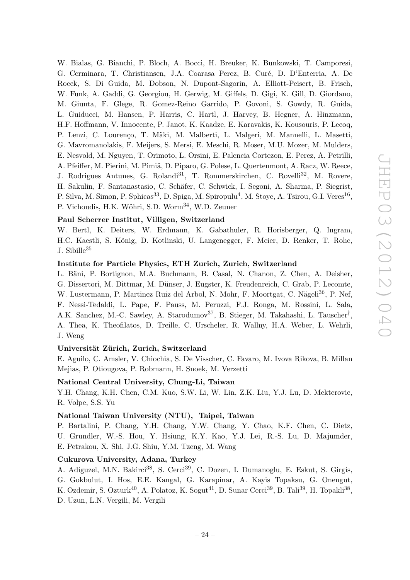W. Bialas, G. Bianchi, P. Bloch, A. Bocci, H. Breuker, K. Bunkowski, T. Camporesi, G. Cerminara, T. Christiansen, J.A. Coarasa Perez, B. Curé, D. D'Enterria, A. De Roeck, S. Di Guida, M. Dobson, N. Dupont-Sagorin, A. Elliott-Peisert, B. Frisch, W. Funk, A. Gaddi, G. Georgiou, H. Gerwig, M. Giffels, D. Gigi, K. Gill, D. Giordano, M. Giunta, F. Glege, R. Gomez-Reino Garrido, P. Govoni, S. Gowdy, R. Guida, L. Guiducci, M. Hansen, P. Harris, C. Hartl, J. Harvey, B. Hegner, A. Hinzmann, H.F. Hoffmann, V. Innocente, P. Janot, K. Kaadze, E. Karavakis, K. Kousouris, P. Lecoq, P. Lenzi, C. Lourenço, T. Mäki, M. Malberti, L. Malgeri, M. Mannelli, L. Masetti, G. Mavromanolakis, F. Meijers, S. Mersi, E. Meschi, R. Moser, M.U. Mozer, M. Mulders, E. Nesvold, M. Nguyen, T. Orimoto, L. Orsini, E. Palencia Cortezon, E. Perez, A. Petrilli, A. Pfeiffer, M. Pierini, M. Pimiä, D. Piparo, G. Polese, L. Quertenmont, A. Racz, W. Reece, J. Rodrigues Antunes, G. Rolandi<sup>31</sup>, T. Rommerskirchen, C. Rovelli<sup>32</sup>, M. Rovere, H. Sakulin, F. Santanastasio, C. Schäfer, C. Schwick, I. Segoni, A. Sharma, P. Siegrist, P. Silva, M. Simon, P. Sphicas<sup>33</sup>, D. Spiga, M. Spiropulu<sup>4</sup>, M. Stoye, A. Tsirou, G.I. Veres<sup>16</sup>, P. Vichoudis, H.K. Wöhri, S.D. Worm<sup>34</sup>, W.D. Zeuner

# Paul Scherrer Institut, Villigen, Switzerland

W. Bertl, K. Deiters, W. Erdmann, K. Gabathuler, R. Horisberger, Q. Ingram, H.C. Kaestli, S. König, D. Kotlinski, U. Langenegger, F. Meier, D. Renker, T. Rohe, J. Sibille<sup>35</sup>

### Institute for Particle Physics, ETH Zurich, Zurich, Switzerland

L. Bäni, P. Bortignon, M.A. Buchmann, B. Casal, N. Chanon, Z. Chen, A. Deisher, G. Dissertori, M. Dittmar, M. Dünser, J. Eugster, K. Freudenreich, C. Grab, P. Lecomte, W. Lustermann, P. Martinez Ruiz del Arbol, N. Mohr, F. Moortgat, C. Nägeli<sup>36</sup>, P. Nef, F. Nessi-Tedaldi, L. Pape, F. Pauss, M. Peruzzi, F.J. Ronga, M. Rossini, L. Sala, A.K. Sanchez, M.-C. Sawley, A. Starodumov<sup>37</sup>, B. Stieger, M. Takahashi, L. Tauscher<sup>†</sup>, A. Thea, K. Theofilatos, D. Treille, C. Urscheler, R. Wallny, H.A. Weber, L. Wehrli, J. Weng

### Universität Zürich, Zurich, Switzerland

E. Aguilo, C. Amsler, V. Chiochia, S. De Visscher, C. Favaro, M. Ivova Rikova, B. Millan Mejias, P. Otiougova, P. Robmann, H. Snoek, M. Verzetti

### National Central University, Chung-Li, Taiwan

Y.H. Chang, K.H. Chen, C.M. Kuo, S.W. Li, W. Lin, Z.K. Liu, Y.J. Lu, D. Mekterovic, R. Volpe, S.S. Yu

### National Taiwan University (NTU), Taipei, Taiwan

P. Bartalini, P. Chang, Y.H. Chang, Y.W. Chang, Y. Chao, K.F. Chen, C. Dietz, U. Grundler, W.-S. Hou, Y. Hsiung, K.Y. Kao, Y.J. Lei, R.-S. Lu, D. Majumder, E. Petrakou, X. Shi, J.G. Shiu, Y.M. Tzeng, M. Wang

# Cukurova University, Adana, Turkey

A. Adiguzel, M.N. Bakirci<sup>38</sup>, S. Cerci<sup>39</sup>, C. Dozen, I. Dumanoglu, E. Eskut, S. Girgis,

G. Gokbulut, I. Hos, E.E. Kangal, G. Karapinar, A. Kayis Topaksu, G. Onengut,

K. Ozdemir, S. Ozturk<sup>40</sup>, A. Polatoz, K. Sogut<sup>41</sup>, D. Sunar Cerci<sup>39</sup>, B. Tali<sup>39</sup>, H. Topakli<sup>38</sup>,

D. Uzun, L.N. Vergili, M. Vergili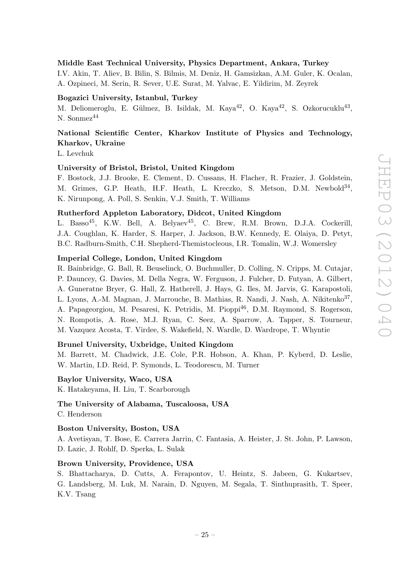# Middle East Technical University, Physics Department, Ankara, Turkey

I.V. Akin, T. Aliev, B. Bilin, S. Bilmis, M. Deniz, H. Gamsizkan, A.M. Guler, K. Ocalan, A. Ozpineci, M. Serin, R. Sever, U.E. Surat, M. Yalvac, E. Yildirim, M. Zeyrek

#### Bogazici University, Istanbul, Turkey

M. Deliomeroglu, E. Gülmez, B. Isildak, M. Kaya<sup>42</sup>, O. Kaya<sup>42</sup>, S. Ozkorucuklu<sup>43</sup>, N. Sonmez<sup>44</sup>

# National Scientific Center, Kharkov Institute of Physics and Technology, Kharkov, Ukraine

L. Levchuk

### University of Bristol, Bristol, United Kingdom

F. Bostock, J.J. Brooke, E. Clement, D. Cussans, H. Flacher, R. Frazier, J. Goldstein, M. Grimes, G.P. Heath, H.F. Heath, L. Kreczko, S. Metson, D.M. Newbold<sup>34</sup>, K. Nirunpong, A. Poll, S. Senkin, V.J. Smith, T. Williams

### Rutherford Appleton Laboratory, Didcot, United Kingdom

L. Basso<sup>45</sup>, K.W. Bell, A. Belyaev<sup>45</sup>, C. Brew, R.M. Brown, D.J.A. Cockerill, J.A. Coughlan, K. Harder, S. Harper, J. Jackson, B.W. Kennedy, E. Olaiya, D. Petyt, B.C. Radburn-Smith, C.H. Shepherd-Themistocleous, I.R. Tomalin, W.J. Womersley

#### Imperial College, London, United Kingdom

R. Bainbridge, G. Ball, R. Beuselinck, O. Buchmuller, D. Colling, N. Cripps, M. Cutajar, P. Dauncey, G. Davies, M. Della Negra, W. Ferguson, J. Fulcher, D. Futyan, A. Gilbert, A. Guneratne Bryer, G. Hall, Z. Hatherell, J. Hays, G. Iles, M. Jarvis, G. Karapostoli, L. Lyons, A.-M. Magnan, J. Marrouche, B. Mathias, R. Nandi, J. Nash, A. Nikitenko<sup>37</sup>, A. Papageorgiou, M. Pesaresi, K. Petridis, M. Pioppi<sup>46</sup>, D.M. Raymond, S. Rogerson, N. Rompotis, A. Rose, M.J. Ryan, C. Seez, A. Sparrow, A. Tapper, S. Tourneur, M. Vazquez Acosta, T. Virdee, S. Wakefield, N. Wardle, D. Wardrope, T. Whyntie

# Brunel University, Uxbridge, United Kingdom

M. Barrett, M. Chadwick, J.E. Cole, P.R. Hobson, A. Khan, P. Kyberd, D. Leslie, W. Martin, I.D. Reid, P. Symonds, L. Teodorescu, M. Turner

Baylor University, Waco, USA

K. Hatakeyama, H. Liu, T. Scarborough

The University of Alabama, Tuscaloosa, USA

C. Henderson

### Boston University, Boston, USA

A. Avetisyan, T. Bose, E. Carrera Jarrin, C. Fantasia, A. Heister, J. St. John, P. Lawson, D. Lazic, J. Rohlf, D. Sperka, L. Sulak

# Brown University, Providence, USA

S. Bhattacharya, D. Cutts, A. Ferapontov, U. Heintz, S. Jabeen, G. Kukartsev, G. Landsberg, M. Luk, M. Narain, D. Nguyen, M. Segala, T. Sinthuprasith, T. Speer, K.V. Tsang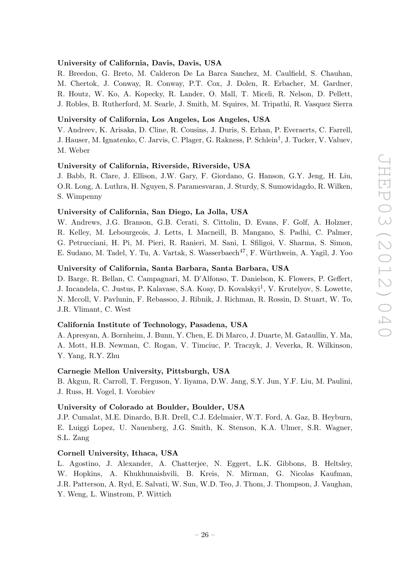### University of California, Davis, Davis, USA

R. Breedon, G. Breto, M. Calderon De La Barca Sanchez, M. Caulfield, S. Chauhan, M. Chertok, J. Conway, R. Conway, P.T. Cox, J. Dolen, R. Erbacher, M. Gardner, R. Houtz, W. Ko, A. Kopecky, R. Lander, O. Mall, T. Miceli, R. Nelson, D. Pellett, J. Robles, B. Rutherford, M. Searle, J. Smith, M. Squires, M. Tripathi, R. Vasquez Sierra

#### University of California, Los Angeles, Los Angeles, USA

V. Andreev, K. Arisaka, D. Cline, R. Cousins, J. Duris, S. Erhan, P. Everaerts, C. Farrell, J. Hauser, M. Ignatenko, C. Jarvis, C. Plager, G. Rakness, P. Schlein† , J. Tucker, V. Valuev, M. Weber

# University of California, Riverside, Riverside, USA

J. Babb, R. Clare, J. Ellison, J.W. Gary, F. Giordano, G. Hanson, G.Y. Jeng, H. Liu, O.R. Long, A. Luthra, H. Nguyen, S. Paramesvaran, J. Sturdy, S. Sumowidagdo, R. Wilken, S. Wimpenny

### University of California, San Diego, La Jolla, USA

W. Andrews, J.G. Branson, G.B. Cerati, S. Cittolin, D. Evans, F. Golf, A. Holzner, R. Kelley, M. Lebourgeois, J. Letts, I. Macneill, B. Mangano, S. Padhi, C. Palmer, G. Petrucciani, H. Pi, M. Pieri, R. Ranieri, M. Sani, I. Sfiligoi, V. Sharma, S. Simon, E. Sudano, M. Tadel, Y. Tu, A. Vartak, S. Wasserbaech<sup>47</sup>, F. Würthwein, A. Yagil, J. Yoo

### University of California, Santa Barbara, Santa Barbara, USA

D. Barge, R. Bellan, C. Campagnari, M. D'Alfonso, T. Danielson, K. Flowers, P. Geffert, J. Incandela, C. Justus, P. Kalavase, S.A. Koay, D. Kovalskyi<sup>1</sup>, V. Krutelyov, S. Lowette, N. Mccoll, V. Pavlunin, F. Rebassoo, J. Ribnik, J. Richman, R. Rossin, D. Stuart, W. To, J.R. Vlimant, C. West

# California Institute of Technology, Pasadena, USA

A. Apresyan, A. Bornheim, J. Bunn, Y. Chen, E. Di Marco, J. Duarte, M. Gataullin, Y. Ma, A. Mott, H.B. Newman, C. Rogan, V. Timciuc, P. Traczyk, J. Veverka, R. Wilkinson, Y. Yang, R.Y. Zhu

### Carnegie Mellon University, Pittsburgh, USA

B. Akgun, R. Carroll, T. Ferguson, Y. Iiyama, D.W. Jang, S.Y. Jun, Y.F. Liu, M. Paulini, J. Russ, H. Vogel, I. Vorobiev

### University of Colorado at Boulder, Boulder, USA

J.P. Cumalat, M.E. Dinardo, B.R. Drell, C.J. Edelmaier, W.T. Ford, A. Gaz, B. Heyburn, E. Luiggi Lopez, U. Nauenberg, J.G. Smith, K. Stenson, K.A. Ulmer, S.R. Wagner, S.L. Zang

# Cornell University, Ithaca, USA

L. Agostino, J. Alexander, A. Chatterjee, N. Eggert, L.K. Gibbons, B. Heltsley, W. Hopkins, A. Khukhunaishvili, B. Kreis, N. Mirman, G. Nicolas Kaufman, J.R. Patterson, A. Ryd, E. Salvati, W. Sun, W.D. Teo, J. Thom, J. Thompson, J. Vaughan, Y. Weng, L. Winstrom, P. Wittich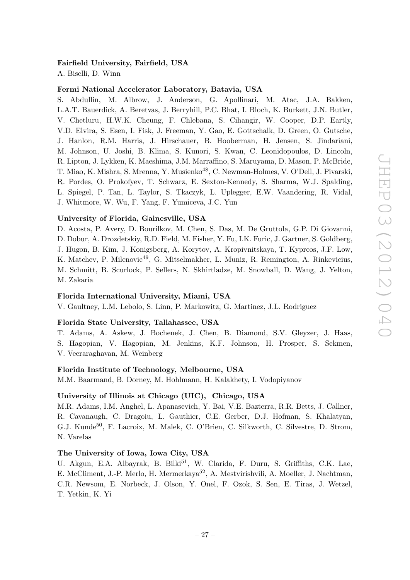### Fairfield University, Fairfield, USA

A. Biselli, D. Winn

# Fermi National Accelerator Laboratory, Batavia, USA

S. Abdullin, M. Albrow, J. Anderson, G. Apollinari, M. Atac, J.A. Bakken, L.A.T. Bauerdick, A. Beretvas, J. Berryhill, P.C. Bhat, I. Bloch, K. Burkett, J.N. Butler, V. Chetluru, H.W.K. Cheung, F. Chlebana, S. Cihangir, W. Cooper, D.P. Eartly, V.D. Elvira, S. Esen, I. Fisk, J. Freeman, Y. Gao, E. Gottschalk, D. Green, O. Gutsche, J. Hanlon, R.M. Harris, J. Hirschauer, B. Hooberman, H. Jensen, S. Jindariani, M. Johnson, U. Joshi, B. Klima, S. Kunori, S. Kwan, C. Leonidopoulos, D. Lincoln, R. Lipton, J. Lykken, K. Maeshima, J.M. Marraffino, S. Maruyama, D. Mason, P. McBride, T. Miao, K. Mishra, S. Mrenna, Y. Musienko<sup>48</sup>, C. Newman-Holmes, V. O'Dell, J. Pivarski, R. Pordes, O. Prokofyev, T. Schwarz, E. Sexton-Kennedy, S. Sharma, W.J. Spalding, L. Spiegel, P. Tan, L. Taylor, S. Tkaczyk, L. Uplegger, E.W. Vaandering, R. Vidal, J. Whitmore, W. Wu, F. Yang, F. Yumiceva, J.C. Yun

# University of Florida, Gainesville, USA

D. Acosta, P. Avery, D. Bourilkov, M. Chen, S. Das, M. De Gruttola, G.P. Di Giovanni, D. Dobur, A. Drozdetskiy, R.D. Field, M. Fisher, Y. Fu, I.K. Furic, J. Gartner, S. Goldberg, J. Hugon, B. Kim, J. Konigsberg, A. Korytov, A. Kropivnitskaya, T. Kypreos, J.F. Low, K. Matchev, P. Milenovic<sup>49</sup>, G. Mitselmakher, L. Muniz, R. Remington, A. Rinkevicius, M. Schmitt, B. Scurlock, P. Sellers, N. Skhirtladze, M. Snowball, D. Wang, J. Yelton, M. Zakaria

### Florida International University, Miami, USA

V. Gaultney, L.M. Lebolo, S. Linn, P. Markowitz, G. Martinez, J.L. Rodriguez

### Florida State University, Tallahassee, USA

T. Adams, A. Askew, J. Bochenek, J. Chen, B. Diamond, S.V. Gleyzer, J. Haas, S. Hagopian, V. Hagopian, M. Jenkins, K.F. Johnson, H. Prosper, S. Sekmen, V. Veeraraghavan, M. Weinberg

### Florida Institute of Technology, Melbourne, USA

M.M. Baarmand, B. Dorney, M. Hohlmann, H. Kalakhety, I. Vodopiyanov

### University of Illinois at Chicago (UIC), Chicago, USA

M.R. Adams, I.M. Anghel, L. Apanasevich, Y. Bai, V.E. Bazterra, R.R. Betts, J. Callner, R. Cavanaugh, C. Dragoiu, L. Gauthier, C.E. Gerber, D.J. Hofman, S. Khalatyan, G.J. Kunde<sup>50</sup>, F. Lacroix, M. Malek, C. O'Brien, C. Silkworth, C. Silvestre, D. Strom, N. Varelas

# The University of Iowa, Iowa City, USA

U. Akgun, E.A. Albayrak, B. Bilki<sup>51</sup>, W. Clarida, F. Duru, S. Griffiths, C.K. Lae, E. McCliment, J.-P. Merlo, H. Mermerkaya<sup>52</sup>, A. Mestvirishvili, A. Moeller, J. Nachtman, C.R. Newsom, E. Norbeck, J. Olson, Y. Onel, F. Ozok, S. Sen, E. Tiras, J. Wetzel, T. Yetkin, K. Yi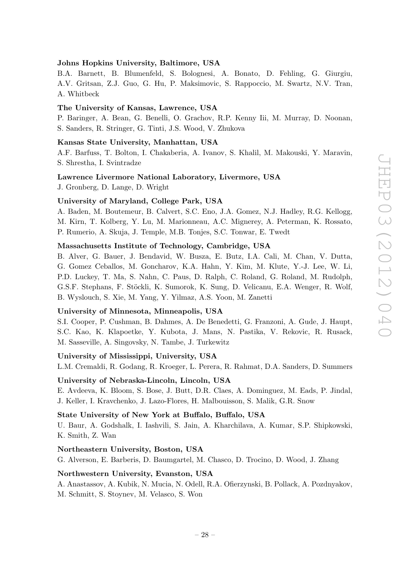### Johns Hopkins University, Baltimore, USA

B.A. Barnett, B. Blumenfeld, S. Bolognesi, A. Bonato, D. Fehling, G. Giurgiu, A.V. Gritsan, Z.J. Guo, G. Hu, P. Maksimovic, S. Rappoccio, M. Swartz, N.V. Tran, A. Whitbeck

#### The University of Kansas, Lawrence, USA

P. Baringer, A. Bean, G. Benelli, O. Grachov, R.P. Kenny Iii, M. Murray, D. Noonan, S. Sanders, R. Stringer, G. Tinti, J.S. Wood, V. Zhukova

### Kansas State University, Manhattan, USA

A.F. Barfuss, T. Bolton, I. Chakaberia, A. Ivanov, S. Khalil, M. Makouski, Y. Maravin, S. Shrestha, I. Svintradze

### Lawrence Livermore National Laboratory, Livermore, USA

J. Gronberg, D. Lange, D. Wright

# University of Maryland, College Park, USA

A. Baden, M. Boutemeur, B. Calvert, S.C. Eno, J.A. Gomez, N.J. Hadley, R.G. Kellogg, M. Kirn, T. Kolberg, Y. Lu, M. Marionneau, A.C. Mignerey, A. Peterman, K. Rossato, P. Rumerio, A. Skuja, J. Temple, M.B. Tonjes, S.C. Tonwar, E. Twedt

# Massachusetts Institute of Technology, Cambridge, USA

B. Alver, G. Bauer, J. Bendavid, W. Busza, E. Butz, I.A. Cali, M. Chan, V. Dutta, G. Gomez Ceballos, M. Goncharov, K.A. Hahn, Y. Kim, M. Klute, Y.-J. Lee, W. Li, P.D. Luckey, T. Ma, S. Nahn, C. Paus, D. Ralph, C. Roland, G. Roland, M. Rudolph, G.S.F. Stephans, F. Stöckli, K. Sumorok, K. Sung, D. Velicanu, E.A. Wenger, R. Wolf, B. Wyslouch, S. Xie, M. Yang, Y. Yilmaz, A.S. Yoon, M. Zanetti

### University of Minnesota, Minneapolis, USA

S.I. Cooper, P. Cushman, B. Dahmes, A. De Benedetti, G. Franzoni, A. Gude, J. Haupt, S.C. Kao, K. Klapoetke, Y. Kubota, J. Mans, N. Pastika, V. Rekovic, R. Rusack, M. Sasseville, A. Singovsky, N. Tambe, J. Turkewitz

### University of Mississippi, University, USA

L.M. Cremaldi, R. Godang, R. Kroeger, L. Perera, R. Rahmat, D.A. Sanders, D. Summers

# University of Nebraska-Lincoln, Lincoln, USA

E. Avdeeva, K. Bloom, S. Bose, J. Butt, D.R. Claes, A. Dominguez, M. Eads, P. Jindal, J. Keller, I. Kravchenko, J. Lazo-Flores, H. Malbouisson, S. Malik, G.R. Snow

### State University of New York at Buffalo, Buffalo, USA

U. Baur, A. Godshalk, I. Iashvili, S. Jain, A. Kharchilava, A. Kumar, S.P. Shipkowski, K. Smith, Z. Wan

### Northeastern University, Boston, USA

G. Alverson, E. Barberis, D. Baumgartel, M. Chasco, D. Trocino, D. Wood, J. Zhang

### Northwestern University, Evanston, USA

A. Anastassov, A. Kubik, N. Mucia, N. Odell, R.A. Ofierzynski, B. Pollack, A. Pozdnyakov,

M. Schmitt, S. Stoynev, M. Velasco, S. Won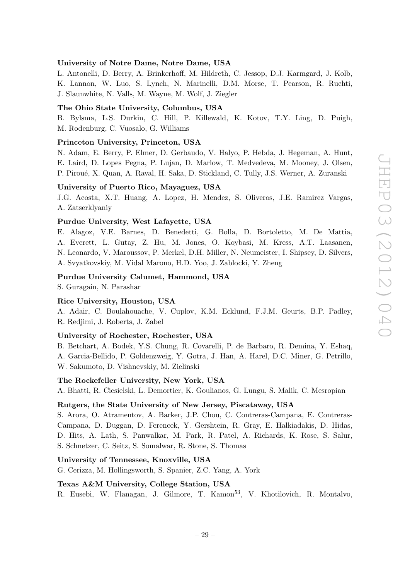### University of Notre Dame, Notre Dame, USA

L. Antonelli, D. Berry, A. Brinkerhoff, M. Hildreth, C. Jessop, D.J. Karmgard, J. Kolb, K. Lannon, W. Luo, S. Lynch, N. Marinelli, D.M. Morse, T. Pearson, R. Ruchti, J. Slaunwhite, N. Valls, M. Wayne, M. Wolf, J. Ziegler

#### The Ohio State University, Columbus, USA

B. Bylsma, L.S. Durkin, C. Hill, P. Killewald, K. Kotov, T.Y. Ling, D. Puigh, M. Rodenburg, C. Vuosalo, G. Williams

### Princeton University, Princeton, USA

N. Adam, E. Berry, P. Elmer, D. Gerbaudo, V. Halyo, P. Hebda, J. Hegeman, A. Hunt, E. Laird, D. Lopes Pegna, P. Lujan, D. Marlow, T. Medvedeva, M. Mooney, J. Olsen, P. Piroué, X. Quan, A. Raval, H. Saka, D. Stickland, C. Tully, J.S. Werner, A. Zuranski

### University of Puerto Rico, Mayaguez, USA

J.G. Acosta, X.T. Huang, A. Lopez, H. Mendez, S. Oliveros, J.E. Ramirez Vargas, A. Zatserklyaniy

# Purdue University, West Lafayette, USA

E. Alagoz, V.E. Barnes, D. Benedetti, G. Bolla, D. Bortoletto, M. De Mattia, A. Everett, L. Gutay, Z. Hu, M. Jones, O. Koybasi, M. Kress, A.T. Laasanen, N. Leonardo, V. Maroussov, P. Merkel, D.H. Miller, N. Neumeister, I. Shipsey, D. Silvers, A. Svyatkovskiy, M. Vidal Marono, H.D. Yoo, J. Zablocki, Y. Zheng

# Purdue University Calumet, Hammond, USA

S. Guragain, N. Parashar

### Rice University, Houston, USA

A. Adair, C. Boulahouache, V. Cuplov, K.M. Ecklund, F.J.M. Geurts, B.P. Padley, R. Redjimi, J. Roberts, J. Zabel

### University of Rochester, Rochester, USA

B. Betchart, A. Bodek, Y.S. Chung, R. Covarelli, P. de Barbaro, R. Demina, Y. Eshaq, A. Garcia-Bellido, P. Goldenzweig, Y. Gotra, J. Han, A. Harel, D.C. Miner, G. Petrillo, W. Sakumoto, D. Vishnevskiy, M. Zielinski

# The Rockefeller University, New York, USA

A. Bhatti, R. Ciesielski, L. Demortier, K. Goulianos, G. Lungu, S. Malik, C. Mesropian

### Rutgers, the State University of New Jersey, Piscataway, USA

S. Arora, O. Atramentov, A. Barker, J.P. Chou, C. Contreras-Campana, E. Contreras-Campana, D. Duggan, D. Ferencek, Y. Gershtein, R. Gray, E. Halkiadakis, D. Hidas, D. Hits, A. Lath, S. Panwalkar, M. Park, R. Patel, A. Richards, K. Rose, S. Salur, S. Schnetzer, C. Seitz, S. Somalwar, R. Stone, S. Thomas

# University of Tennessee, Knoxville, USA

G. Cerizza, M. Hollingsworth, S. Spanier, Z.C. Yang, A. York

#### Texas A&M University, College Station, USA

R. Eusebi, W. Flanagan, J. Gilmore, T. Kamon<sup>53</sup>, V. Khotilovich, R. Montalvo,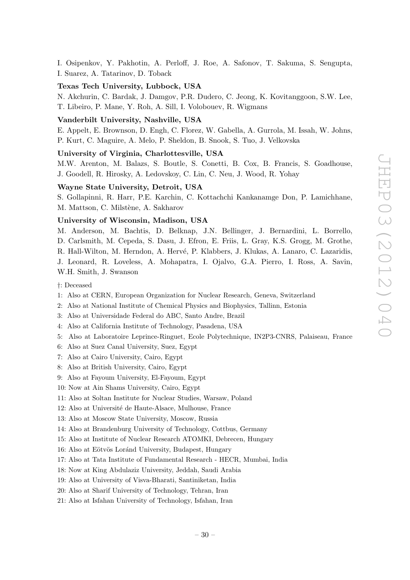I. Osipenkov, Y. Pakhotin, A. Perloff, J. Roe, A. Safonov, T. Sakuma, S. Sengupta, I. Suarez, A. Tatarinov, D. Toback

### Texas Tech University, Lubbock, USA

N. Akchurin, C. Bardak, J. Damgov, P.R. Dudero, C. Jeong, K. Kovitanggoon, S.W. Lee, T. Libeiro, P. Mane, Y. Roh, A. Sill, I. Volobouev, R. Wigmans

### Vanderbilt University, Nashville, USA

E. Appelt, E. Brownson, D. Engh, C. Florez, W. Gabella, A. Gurrola, M. Issah, W. Johns, P. Kurt, C. Maguire, A. Melo, P. Sheldon, B. Snook, S. Tuo, J. Velkovska

### University of Virginia, Charlottesville, USA

M.W. Arenton, M. Balazs, S. Boutle, S. Conetti, B. Cox, B. Francis, S. Goadhouse, J. Goodell, R. Hirosky, A. Ledovskoy, C. Lin, C. Neu, J. Wood, R. Yohay

#### Wayne State University, Detroit, USA

S. Gollapinni, R. Harr, P.E. Karchin, C. Kottachchi Kankanamge Don, P. Lamichhane, M. Mattson, C. Milstène, A. Sakharov

#### University of Wisconsin, Madison, USA

M. Anderson, M. Bachtis, D. Belknap, J.N. Bellinger, J. Bernardini, L. Borrello, D. Carlsmith, M. Cepeda, S. Dasu, J. Efron, E. Friis, L. Gray, K.S. Grogg, M. Grothe, R. Hall-Wilton, M. Herndon, A. Hervé, P. Klabbers, J. Klukas, A. Lanaro, C. Lazaridis, J. Leonard, R. Loveless, A. Mohapatra, I. Ojalvo, G.A. Pierro, I. Ross, A. Savin, W.H. Smith, J. Swanson

#### †: Deceased

- 1: Also at CERN, European Organization for Nuclear Research, Geneva, Switzerland
- 2: Also at National Institute of Chemical Physics and Biophysics, Tallinn, Estonia
- 3: Also at Universidade Federal do ABC, Santo Andre, Brazil
- 4: Also at California Institute of Technology, Pasadena, USA
- 5: Also at Laboratoire Leprince-Ringuet, Ecole Polytechnique, IN2P3-CNRS, Palaiseau, France
- 6: Also at Suez Canal University, Suez, Egypt
- 7: Also at Cairo University, Cairo, Egypt
- 8: Also at British University, Cairo, Egypt
- 9: Also at Fayoum University, El-Fayoum, Egypt
- 10: Now at Ain Shams University, Cairo, Egypt
- 11: Also at Soltan Institute for Nuclear Studies, Warsaw, Poland
- 12: Also at Université de Haute-Alsace, Mulhouse, France
- 13: Also at Moscow State University, Moscow, Russia
- 14: Also at Brandenburg University of Technology, Cottbus, Germany
- 15: Also at Institute of Nuclear Research ATOMKI, Debrecen, Hungary
- 16: Also at Eötvös Loránd University, Budapest, Hungary
- 17: Also at Tata Institute of Fundamental Research HECR, Mumbai, India
- 18: Now at King Abdulaziz University, Jeddah, Saudi Arabia
- 19: Also at University of Visva-Bharati, Santiniketan, India
- 20: Also at Sharif University of Technology, Tehran, Iran
- 21: Also at Isfahan University of Technology, Isfahan, Iran